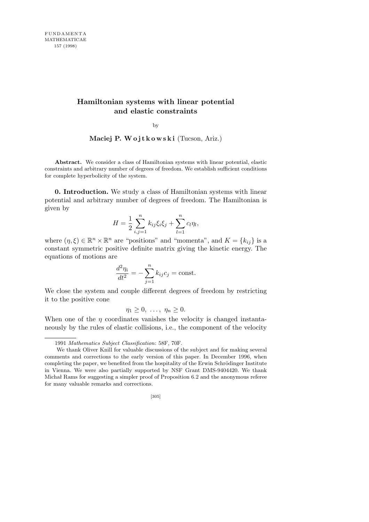# **Hamiltonian systems with linear potential and elastic constraints**

by

Maciej P. Wojtkowski (Tucson, Ariz.)

**Abstract.** We consider a class of Hamiltonian systems with linear potential, elastic constraints and arbitrary number of degrees of freedom. We establish sufficient conditions for complete hyperbolicity of the system.

**0. Introduction.** We study a class of Hamiltonian systems with linear potential and arbitrary number of degrees of freedom. The Hamiltonian is given by

$$
H = \frac{1}{2} \sum_{i,j=1}^{n} k_{ij} \xi_i \xi_j + \sum_{l=1}^{n} c_l \eta_l,
$$

where  $(\eta, \xi) \in \mathbb{R}^n \times \mathbb{R}^n$  are "positions" and "momenta", and  $K = \{k_{ij}\}\$ is a constant symmetric positive definite matrix giving the kinetic energy. The equations of motions are

$$
\frac{d^2\eta_i}{dt^2} = -\sum_{j=1}^n k_{ij}c_j = \text{const.}
$$

We close the system and couple different degrees of freedom by restricting it to the positive cone

$$
\eta_1\geq 0,\ \ldots,\ \eta_n\geq 0.
$$

When one of the  $\eta$  coordinates vanishes the velocity is changed instantaneously by the rules of elastic collisions, i.e., the component of the velocity

<sup>1991</sup> *Mathematics Subject Classification*: 58F, 70F.

We thank Oliver Knill for valuable discussions of the subject and for making several comments and corrections to the early version of this paper. In December 1996, when completing the paper, we benefited from the hospitality of the Erwin Schrödinger Institute in Vienna. We were also partially supported by NSF Grant DMS-9404420. We thank Michał Rams for suggesting a simpler proof of Proposition 6.2 and the anonymous referee for many valuable remarks and corrections.

<sup>[305]</sup>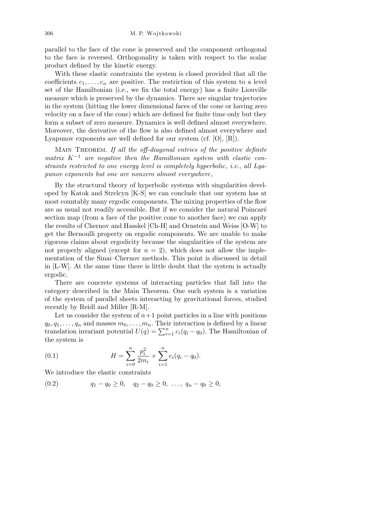parallel to the face of the cone is preserved and the component orthogonal to the face is reversed. Orthogonality is taken with respect to the scalar product defined by the kinetic energy.

With these elastic constraints the system is closed provided that all the coefficients  $c_1, \ldots, c_n$  are positive. The restriction of this system to a level set of the Hamiltonian (i.e., we fix the total energy) has a finite Liouville measure which is preserved by the dynamics. There are singular trajectories in the system (hitting the lower dimensional faces of the cone or having zero velocity on a face of the cone) which are defined for finite time only but they form a subset of zero measure. Dynamics is well defined almost everywhere. Moreover, the derivative of the flow is also defined almost everywhere and Lyapunov exponents are well defined for our system (cf. [O], [R]).

Main Theorem. *If all the off-diagonal entries of the positive definite*  $matrix K^{-1}$  are negative then the Hamiltonian system with elastic con*straints restricted to one energy level is completely hyperbolic*, *i.e.*, *all Lyapunov exponents but one are nonzero almost everywhere*,

By the structural theory of hyperbolic systems with singularities developed by Katok and Strelcyn [K-S] we can conclude that our system has at most countably many ergodic components. The mixing properties of the flow are as usual not readily accessible. But if we consider the natural Poincaré section map (from a face of the positive cone to another face) we can apply the results of Chernov and Hasskel [Ch-H] and Ornstein and Weiss [O-W] to get the Bernoulli property on ergodic components. We are unable to make rigorous claims about ergodicity because the singularities of the system are not properly aligned (except for  $n = 2$ ), which does not allow the implementation of the Sinai–Chernov methods. This point is discussed in detail in [L-W]. At the same time there is little doubt that the system is actually ergodic.

There are concrete systems of interacting particles that fall into the category described in the Main Theorem. One such system is a variation of the system of parallel sheets interacting by gravitational forces, studied recently by Reidl and Miller [R-M].

Let us consider the system of  $n+1$  point particles in a line with positions  $q_0, q_1, \ldots, q_n$  and masses  $m_0, \ldots, m_n$ . Their interaction is defined by a linear  $q_0, q_1, \ldots, q_n$  and masses  $m_0, \ldots, m_n$ . Their interaction is defined by a linear translation invariant potential  $U(q) = \sum_{i=1}^n c_i (q_i - q_0)$ . The Hamiltonian of the system is

(0.1) 
$$
H = \sum_{i=0}^{n} \frac{p_i^2}{2m_i} + \sum_{i=1}^{n} c_i (q_i - q_0).
$$

We introduce the elastic constraints

$$
(0.2) \t q_1 - q_0 \ge 0, \t q_2 - q_0 \ge 0, \ldots, \t q_n - q_0 \ge 0,
$$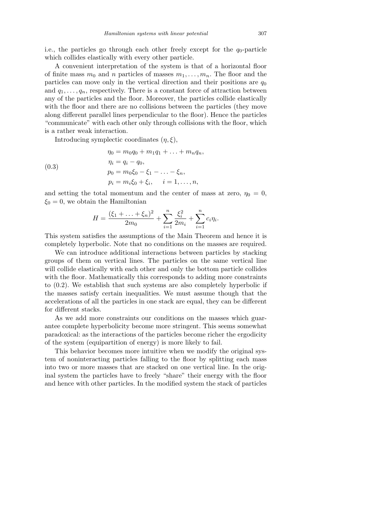i.e., the particles go through each other freely except for the  $q_0$ -particle which collides elastically with every other particle.

A convenient interpretation of the system is that of a horizontal floor of finite mass  $m_0$  and *n* particles of masses  $m_1, \ldots, m_n$ . The floor and the particles can move only in the vertical direction and their positions are  $q_0$ and  $q_1, \ldots, q_n$ , respectively. There is a constant force of attraction between any of the particles and the floor. Moreover, the particles collide elastically with the floor and there are no collisions between the particles (they move along different parallel lines perpendicular to the floor). Hence the particles "communicate" with each other only through collisions with the floor, which is a rather weak interaction.

Introducing symplectic coordinates (*η, ξ*),

(0.3)  
\n
$$
\eta_0 = m_0 q_0 + m_1 q_1 + \dots + m_n q_n,
$$
\n
$$
\eta_i = q_i - q_0,
$$
\n
$$
p_0 = m_0 \xi_0 - \xi_1 - \dots - \xi_n,
$$
\n
$$
p_i = m_i \xi_0 + \xi_i, \quad i = 1, \dots, n,
$$

and setting the total momentum and the center of mass at zero,  $\eta_0 = 0$ ,  $\xi_0 = 0$ , we obtain the Hamiltonian

$$
H = \frac{(\xi_1 + \ldots + \xi_n)^2}{2m_0} + \sum_{i=1}^n \frac{\xi_i^2}{2m_i} + \sum_{i=1}^n c_i \eta_i.
$$

This system satisfies the assumptions of the Main Theorem and hence it is completely hyperbolic. Note that no conditions on the masses are required.

We can introduce additional interactions between particles by stacking groups of them on vertical lines. The particles on the same vertical line will collide elastically with each other and only the bottom particle collides with the floor. Mathematically this corresponds to adding more constraints to (0.2). We establish that such systems are also completely hyperbolic if the masses satisfy certain inequalities. We must assume though that the accelerations of all the particles in one stack are equal, they can be different for different stacks.

As we add more constraints our conditions on the masses which guarantee complete hyperbolicity become more stringent. This seems somewhat paradoxical: as the interactions of the particles become richer the ergodicity of the system (equipartition of energy) is more likely to fail.

This behavior becomes more intuitive when we modify the original system of noninteracting particles falling to the floor by splitting each mass into two or more masses that are stacked on one vertical line. In the original system the particles have to freely "share" their energy with the floor and hence with other particles. In the modified system the stack of particles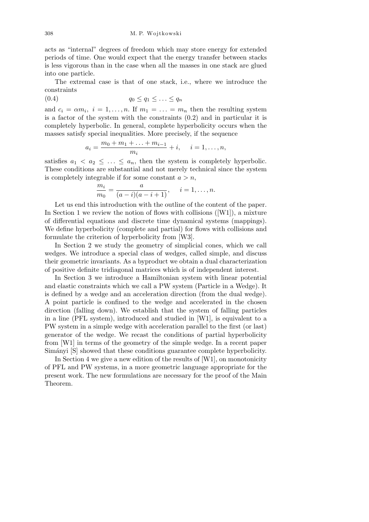acts as "internal" degrees of freedom which may store energy for extended periods of time. One would expect that the energy transfer between stacks is less vigorous than in the case when all the masses in one stack are glued into one particle.

The extremal case is that of one stack, i.e., where we introduce the constraints

$$
(0.4) \t\t q_0 \le q_1 \le \ldots \le q_n
$$

and  $c_i = \alpha m_i$ ,  $i = 1, \ldots, n$ . If  $m_1 = \ldots = m_n$  then the resulting system is a factor of the system with the constraints (0.2) and in particular it is completely hyperbolic. In general, complete hyperbolicity occurs when the masses satisfy special inequalities. More precisely, if the sequence

$$
a_i = \frac{m_0 + m_1 + \ldots + m_{i-1}}{m_i} + i, \quad i = 1, \ldots, n,
$$

satisfies  $a_1 < a_2 \leq \ldots \leq a_n$ , then the system is completely hyperbolic. These conditions are substantial and not merely technical since the system is completely integrable if for some constant  $a > n$ ,

$$
\frac{m_i}{m_0} = \frac{a}{(a-i)(a-i+1)}, \quad i = 1, \dots, n.
$$

Let us end this introduction with the outline of the content of the paper. In Section 1 we review the notion of flows with collisions  $([W1])$ , a mixture of differential equations and discrete time dynamical systems (mappings). We define hyperbolicity (complete and partial) for flows with collisions and formulate the criterion of hyperbolicity from [W3].

In Section 2 we study the geometry of simplicial cones, which we call wedges. We introduce a special class of wedges, called simple, and discuss their geometric invariants. As a byproduct we obtain a dual characterization of positive definite tridiagonal matrices which is of independent interest.

In Section 3 we introduce a Hamiltonian system with linear potential and elastic constraints which we call a PW system (Particle in a Wedge). It is defined by a wedge and an acceleration direction (from the dual wedge). A point particle is confined to the wedge and accelerated in the chosen direction (falling down). We establish that the system of falling particles in a line (PFL system), introduced and studied in [W1], is equivalent to a PW system in a simple wedge with acceleration parallel to the first (or last) generator of the wedge. We recast the conditions of partial hyperbolicity from [W1] in terms of the geometry of the simple wedge. In a recent paper Simányi [S] showed that these conditions guarantee complete hyperbolicity.

In Section 4 we give a new edition of the results of [W1], on monotonicity of PFL and PW systems, in a more geometric language appropriate for the present work. The new formulations are necessary for the proof of the Main Theorem.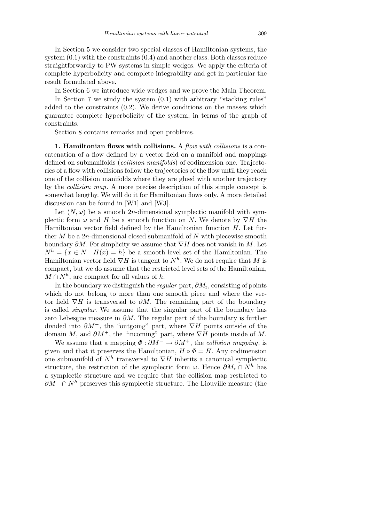In Section 5 we consider two special classes of Hamiltonian systems, the system (0.1) with the constraints (0.4) and another class. Both classes reduce straightforwardly to PW systems in simple wedges. We apply the criteria of complete hyperbolicity and complete integrability and get in particular the result formulated above.

In Section 6 we introduce wide wedges and we prove the Main Theorem.

In Section 7 we study the system  $(0.1)$  with arbitrary "stacking rules" added to the constraints (0.2). We derive conditions on the masses which guarantee complete hyperbolicity of the system, in terms of the graph of constraints.

Section 8 contains remarks and open problems.

**1. Hamiltonian flows with collisions.** A *flow with collisions* is a concatenation of a flow defined by a vector field on a manifold and mappings defined on submanifolds (*collision manifolds*) of codimension one. Trajectories of a flow with collisions follow the trajectories of the flow until they reach one of the collision manifolds where they are glued with another trajectory by the *collision map*. A more precise description of this simple concept is somewhat lengthy. We will do it for Hamiltonian flows only. A more detailed discussion can be found in [W1] and [W3].

Let  $(N, \omega)$  be a smooth 2*n*-dimensional symplectic manifold with symplectic form  $\omega$  and *H* be a smooth function on *N*. We denote by  $\nabla H$  the Hamiltonian vector field defined by the Hamiltonian function *H*. Let further *M* be a 2*n*-dimensional closed submanifold of *N* with piecewise smooth boundary *∂M*. For simplicity we assume that *∇H* does not vanish in *M*. Let  $N^h = \{x \in N \mid H(x) = h\}$  be a smooth level set of the Hamiltonian. The Hamiltonian vector field *∇H* is tangent to *N<sup>h</sup>* . We do not require that *M* is compact, but we do assume that the restricted level sets of the Hamiltonian,  $M \cap N^h$ , are compact for all values of *h*.

In the boundary we distinguish the *regular* part, *∂M*r, consisting of points which do not belong to more than one smooth piece and where the vector field  $\nabla H$  is transversal to  $\partial M$ . The remaining part of the boundary is called *singular*. We assume that the singular part of the boundary has zero Lebesgue measure in *∂M*. The regular part of the boundary is further divided into *∂M<sup>−</sup>*, the "outgoing" part, where *∇H* points outside of the domain *M*, and *∂M*<sup>+</sup>, the "incoming" part, where *∇H* points inside of *M*.

We assume that a mapping  $\Phi : \partial M^- \to \partial M^+$ , the *collision mapping*, is given and that it preserves the Hamiltonian,  $H \circ \Phi = H$ . Any codimension one submanifold of *N<sup>h</sup>* transversal to *∇H* inherits a canonical symplectic structure, the restriction of the symplectic form  $\omega$ . Hence  $\partial M_r \cap N^h$  has a symplectic structure and we require that the collision map restricted to *∂M*<sup>−</sup> ∩ *N*<sup>*h*</sup> preserves this symplectic structure. The Liouville measure (the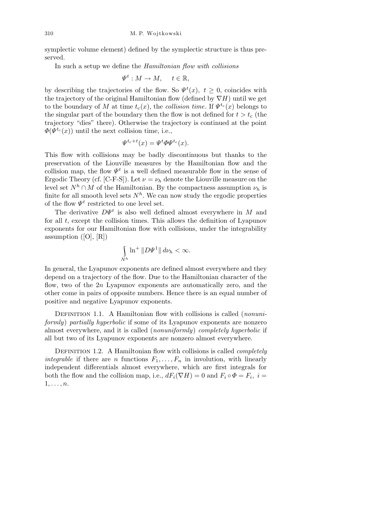symplectic volume element) defined by the symplectic structure is thus preserved.

In such a setup we define the *Hamiltonian flow with collisions*

$$
\Psi^t: M \to M, \quad t \in \mathbb{R},
$$

by describing the trajectories of the flow. So  $\Psi^t(x)$ ,  $t \geq 0$ , coincides with the trajectory of the original Hamiltonian flow (defined by  $\nabla H$ ) until we get to the boundary of *M* at time  $t_c(x)$ , the *collision time*. If  $\Psi^{t_c}(x)$  belongs to the singular part of the boundary then the flow is not defined for  $t > t_c$  (the trajectory "dies" there). Otherwise the trajectory is continued at the point  $\Phi(\Psi^{t_c}(x))$  until the next collision time, i.e.,

$$
\Psi^{t_c+t}(x) = \Psi^t \Phi \Psi^{t_c}(x).
$$

This flow with collisions may be badly discontinuous but thanks to the preservation of the Liouville measures by the Hamiltonian flow and the collision map, the flow  $\Psi^t$  is a well defined measurable flow in the sense of Ergodic Theory (cf. [C-F-S]). Let  $\nu = \nu_h$  denote the Liouville measure on the level set  $N^h \cap M$  of the Hamiltonian. By the compactness assumption  $\nu_h$  is finite for all smooth level sets  $N^h$ . We can now study the ergodic properties of the flow  $\Psi^t$  restricted to one level set.

The derivative *DΨ<sup>t</sup>* is also well defined almost everywhere in *M* and for all *t*, except the collision times. This allows the definition of Lyapunov exponents for our Hamiltonian flow with collisions, under the integrability assumption  $([O], [R])$ 

$$
\int\limits_{N^h} \ln^{+} \|D\Psi^1\| \, d\nu_h < \infty.
$$

In general, the Lyapunov exponents are defined almost everywhere and they depend on a trajectory of the flow. Due to the Hamiltonian character of the flow, two of the 2*n* Lyapunov exponents are automatically zero, and the other come in pairs of opposite numbers. Hence there is an equal number of positive and negative Lyapunov exponents.

DEFINITION 1.1. A Hamiltonian flow with collisions is called *(nonuniformly*) *partially hyperbolic* if some of its Lyapunov exponents are nonzero almost everywhere, and it is called (*nonuniformly*) *completely hyperbolic* if all but two of its Lyapunov exponents are nonzero almost everywhere.

Definition 1.2. A Hamiltonian flow with collisions is called *completely integrable* if there are *n* functions  $F_1, \ldots, F_n$  in involution, with linearly independent differentials almost everywhere, which are first integrals for both the flow and the collision map, i.e.,  $dF_i(\nabla H) = 0$  and  $F_i \circ \Phi = F_i$ ,  $i =$ 1*, . . . , n*.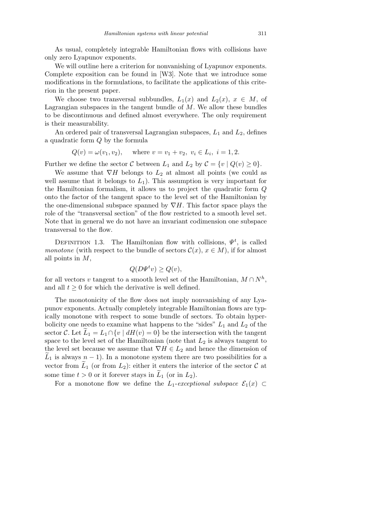As usual, completely integrable Hamiltonian flows with collisions have only zero Lyapunov exponents.

We will outline here a criterion for nonvanishing of Lyapunov exponents. Complete exposition can be found in [W3]. Note that we introduce some modifications in the formulations, to facilitate the applications of this criterion in the present paper.

We choose two transversal subbundles,  $L_1(x)$  and  $L_2(x)$ ,  $x \in M$ , of Lagrangian subspaces in the tangent bundle of *M*. We allow these bundles to be discontinuous and defined almost everywhere. The only requirement is their measurability.

An ordered pair of transversal Lagrangian subspaces, *L*<sup>1</sup> and *L*2, defines a quadratic form *Q* by the formula

$$
Q(v) = \omega(v_1, v_2)
$$
, where  $v = v_1 + v_2$ ,  $v_i \in L_i$ ,  $i = 1, 2$ .

Further we define the sector *C* between  $L_1$  and  $L_2$  by  $C = \{v \mid Q(v) \geq 0\}.$ 

We assume that  $\nabla H$  belongs to  $L_2$  at almost all points (we could as well assume that it belongs to  $L_1$ ). This assumption is very important for the Hamiltonian formalism, it allows us to project the quadratic form *Q* onto the factor of the tangent space to the level set of the Hamiltonian by the one-dimensional subspace spanned by *∇H*. This factor space plays the role of the "transversal section" of the flow restricted to a smooth level set. Note that in general we do not have an invariant codimension one subspace transversal to the flow.

DEFINITION 1.3. The Hamiltonian flow with collisions,  $\Psi^t$ , is called *monotone* (with respect to the bundle of sectors  $\mathcal{C}(x)$ ,  $x \in M$ ), if for almost all points in *M*,

$$
Q(D\Psi^t v) \ge Q(v),
$$

for all vectors *v* tangent to a smooth level set of the Hamiltonian,  $M \cap N^h$ , and all  $t \geq 0$  for which the derivative is well defined.

The monotonicity of the flow does not imply nonvanishing of any Lyapunov exponents. Actually completely integrable Hamiltonian flows are typically monotone with respect to some bundle of sectors. To obtain hyperbolicity one needs to examine what happens to the "sides"  $L_1$  and  $L_2$  of the sector *C*. Let  $L_1 = L_1 \cap \{v \mid dH(v) = 0\}$  be the intersection with the tangent space to the level set of the Hamiltonian (note that *L*<sup>2</sup> is always tangent to the level set because we assume that  $\nabla H \in L_2$  and hence the dimension of  $L_1$  is always  $n-1$ ). In a monotone system there are two possibilities for a vector from  $L_1$  (or from  $L_2$ ): either it enters the interior of the sector  $C$  at some time  $t > 0$  or it forever stays in  $L_1$  (or in  $L_2$ ).

For a monotone flow we define the *L*<sub>1</sub>-exceptional subspace  $\mathcal{E}_1(x) \subset$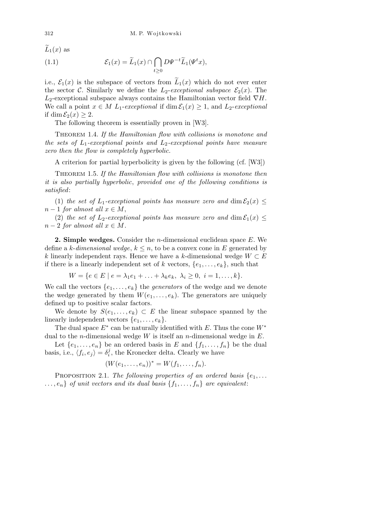$\widetilde{L}_1(x)$  as

(1.1) 
$$
\mathcal{E}_1(x) = \widetilde{L}_1(x) \cap \bigcap_{t \geq 0} D \Psi^{-t} \widetilde{L}_1(\Psi^t x),
$$

i.e.,  $\mathcal{E}_1(x)$  is the subspace of vectors from  $\tilde{L}_1(x)$  which do not ever enter the sector *C*. Similarly we define the  $L_2$ -exceptional subspace  $\mathcal{E}_2(x)$ . The *L*2-exceptional subspace always contains the Hamiltonian vector field *∇H*. We call a point  $x \in M$   $L_1$ -exceptional if dim  $\mathcal{E}_1(x) \geq 1$ , and  $L_2$ -exceptional if dim  $\mathcal{E}_2(x) \geq 2$ .

The following theorem is essentially proven in [W3].

Theorem 1.4. *If the Hamiltonian flow with collisions is monotone and the sets of L*1*-exceptional points and L*2*-exceptional points have measure zero then the flow is completely hyperbolic.*

A criterion for partial hyperbolicity is given by the following (cf. [W3])

Theorem 1.5. *If the Hamiltonian flow with collisions is monotone then it is also partially hyperbolic*, *provided one of the following conditions is satisfied*:

(1) *the set of*  $L_1$ -exceptional points has measure zero and dim  $\mathcal{E}_2(x) \leq$  $n-1$  *for almost all*  $x \in M$ ,

(2) the set of  $L_2$ -exceptional points has measure zero and  $\dim \mathcal{E}_1(x) \leq$  $n-2$  *for almost all*  $x \in M$ *.* 

**2. Simple wedges.** Consider the *n*-dimensional euclidean space *E*. We define a  $k$ -*dimensional wedge*,  $k \leq n$ , to be a convex cone in E generated by *k* linearly independent rays. Hence we have a *k*-dimensional wedge  $W ⊂ E$ if there is a linearly independent set of *k* vectors,  $\{e_1, \ldots, e_k\}$ , such that

$$
W = \{ e \in E \mid e = \lambda_1 e_1 + \ldots + \lambda_k e_k, \ \lambda_i \ge 0, \ i = 1, \ldots, k \}.
$$

We call the vectors  $\{e_1, \ldots, e_k\}$  the *generators* of the wedge and we denote the wedge generated by them  $W(e_1, \ldots, e_k)$ . The generators are uniquely defined up to positive scalar factors.

We denote by  $S(e_1, \ldots, e_k) \subset E$  the linear subspace spanned by the linearly independent vectors  $\{e_1, \ldots, e_k\}.$ 

The dual space  $E^*$  can be naturally identified with  $E$ . Thus the cone  $W^*$ dual to the *n*-dimensional wedge *W* is itself an *n*-dimensional wedge in *E*.

Let  $\{e_1, \ldots, e_n\}$  be an ordered basis in *E* and  $\{f_1, \ldots, f_n\}$  be the dual basis, i.e.,  $\langle f_i, e_j \rangle = \delta_i^j$  $i$ <sup>,</sup> the Kronecker delta. Clearly we have

$$
(W(e_1,\ldots,e_n))^* = W(f_1,\ldots,f_n).
$$

PROPOSITION 2.1. *The following properties of an ordered basis*  $\{e_1, \ldots\}$  $\dots$ ,  $e_n$ *} of unit vectors and its dual basis*  $\{f_1, \dots, f_n\}$  *are equivalent:*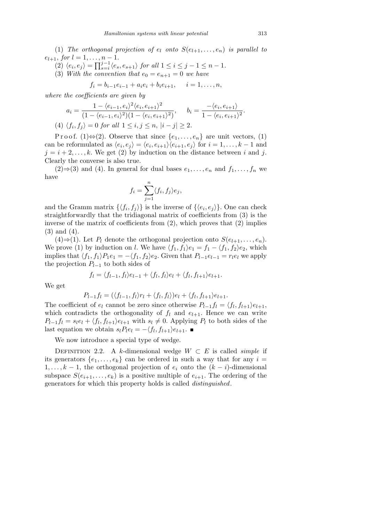(1) *The orthogonal projection of*  $e_l$  *onto*  $S(e_{l+1}, \ldots, e_n)$  *is parallel to*  $e_{l+1},$  *for*  $l = 1, ..., n-1$ .

- $\langle e_i, e_j \rangle = \prod_{s=i}^{j-1}$  $\int_{s=i}^{j-1} \langle e_s, e_{s+1} \rangle$  *for all*  $1 \leq i \leq j-1 \leq n-1$ .
- (3) With the convention that  $e_0 = e_{n+1} = 0$  we have

$$
f_i = b_{i-1}e_{i-1} + a_i e_i + b_i e_{i+1}, \quad i = 1, \dots, n,
$$

*where the coefficients are given by*

$$
a_i = \frac{1 - \langle e_{i-1}, e_i \rangle^2 \langle e_i, e_{i+1} \rangle^2}{(1 - \langle e_{i-1}, e_i \rangle^2)(1 - \langle e_i, e_{i+1} \rangle^2)}, \quad b_i = \frac{-\langle e_i, e_{i+1} \rangle}{1 - \langle e_i, e_{i+1} \rangle^2}.
$$
  
(4)  $\langle f_i, f_j \rangle = 0$  for all  $1 \le i, j \le n, |i - j| \ge 2$ .

Proof. (1) $\Leftrightarrow$ (2). Observe that since  $\{e_1, \ldots, e_n\}$  are unit vectors, (1) can be reformulated as  $\langle e_i, e_j \rangle = \langle e_i, e_{i+1} \rangle \langle e_{i+1}, e_j \rangle$  for  $i = 1, ..., k-1$  and  $j = i + 2, \ldots, k$ . We get (2) by induction on the distance between *i* and *j*. Clearly the converse is also true.

(2)⇒(3) and (4). In general for dual bases  $e_1, \ldots, e_n$  and  $f_1, \ldots, f_n$  we have

$$
f_i = \sum_{j=1}^n \langle f_i, f_j \rangle e_j,
$$

and the Gramm matrix  $\{\langle f_i, f_j \rangle\}$  is the inverse of  $\{\langle e_i, e_j \rangle\}$ . One can check straightforwardly that the tridiagonal matrix of coefficients from (3) is the inverse of the matrix of coefficients from (2), which proves that (2) implies (3) and (4).

(4)⇒(1). Let  $P_l$  denote the orthogonal projection onto  $S(e_{l+1}, \ldots, e_n)$ . We prove (1) by induction on *l*. We have  $\langle f_1, f_1 \rangle e_1 = f_1 - \langle f_1, f_2 \rangle e_2$ , which implies that  $\langle f_1, f_1 \rangle P_1e_1 = -\langle f_1, f_2 \rangle e_2$ . Given that  $P_{l-1}e_{l-1} = r_l e_l$  we apply the projection *Pl−*<sup>1</sup> to both sides of

$$
f_l = \langle f_{l-1}, f_l \rangle e_{l-1} + \langle f_l, f_l \rangle e_l + \langle f_l, f_{l+1} \rangle e_{l+1}.
$$

We get

$$
P_{l-1}f_l = (\langle f_{l-1}, f_l \rangle r_l + \langle f_l, f_l \rangle)e_l + \langle f_l, f_{l+1} \rangle e_{l+1}.
$$

The coefficient of  $e_l$  cannot be zero since otherwise  $P_{l-1}f_l = \langle f_l, f_{l+1} \rangle e_{l+1}$ , which contradicts the orthogonality of  $f_l$  and  $e_{l+1}$ . Hence we can write  $P_{l-1}f_l = s_l e_l + \langle f_l, f_{l+1} \rangle e_{l+1}$  with  $s_l \neq 0$ . Applying  $P_l$  to both sides of the last equation we obtain  $s_l P_l e_l = -\langle f_l, f_{l+1} \rangle e_{l+1}.$ 

We now introduce a special type of wedge.

DEFINITION 2.2. A *k*-dimensional wedge  $W \subset E$  is called *simple* if its generators  $\{e_1, \ldots, e_k\}$  can be ordered in such a way that for any  $i =$ 1, ...,  $k - 1$ , the orthogonal projection of  $e_i$  onto the  $(k - i)$ -dimensional subspace  $S(e_{i+1}, \ldots, e_k)$  is a positive multiple of  $e_{i+1}$ . The ordering of the generators for which this property holds is called *distinguished*.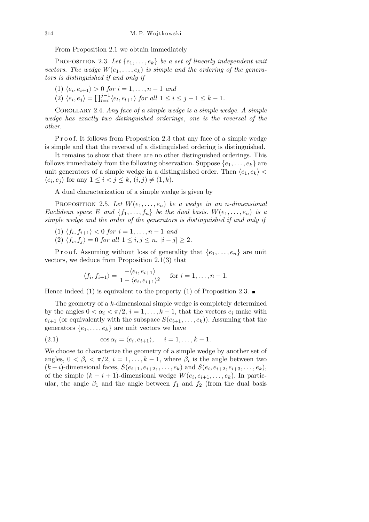From Proposition 2.1 we obtain immediately

PROPOSITION 2.3. Let  $\{e_1, \ldots, e_k\}$  be a set of linearly independent unit *vectors. The wedge*  $W(e_1, \ldots, e_k)$  *is simple and the ordering of the generators is distinguished if and only if*

- $\langle 1 \rangle$   $\langle e_i, e_{i+1} \rangle > 0$  *for*  $i = 1, ..., n-1$  *and*
- $\langle e_i, e_j \rangle = \prod_{l=i}^{j-1}$  $\int_{l=i}^{j-1} \langle e_l, e_{l+1} \rangle$  *for all*  $1 \leq i \leq j-1 \leq k-1$ .

Corollary 2.4. *Any face of a simple wedge is a simple wedge. A simple wedge has exactly two distinguished orderings*, *one is the reversal of the other.*

Proof. It follows from Proposition 2.3 that any face of a simple wedge is simple and that the reversal of a distinguished ordering is distinguished.

It remains to show that there are no other distinguished orderings. This follows immediately from the following observation. Suppose  $\{e_1, \ldots, e_k\}$  are unit generators of a simple wedge in a distinguished order. Then  $\langle e_1, e_k \rangle$  $\langle e_i, e_j \rangle$  for any  $1 \le i < j \le k$ ,  $(i, j) \ne (1, k)$ .

A dual characterization of a simple wedge is given by

PROPOSITION 2.5. Let  $W(e_1, \ldots, e_n)$  be a wedge in an *n*-dimensional *Euclidean space E and*  $\{f_1, \ldots, f_n\}$  *be the dual basis.*  $W(e_1, \ldots, e_n)$  *is a simple wedge and the order of the generators is distinguished if and only if*

- $\langle 1 \rangle \langle f_i, f_{i+1} \rangle < 0 \text{ for } i = 1, \ldots, n-1 \text{ and}$
- $\langle 2 \rangle \langle f_i, f_j \rangle = 0$  *for all*  $1 \leq i, j \leq n, |i j| \geq 2$ .

P r o o f. Assuming without loss of generality that  $\{e_1, \ldots, e_n\}$  are unit vectors, we deduce from Proposition 2.1(3) that

$$
\langle f_i, f_{i+1} \rangle = \frac{-\langle e_i, e_{i+1} \rangle}{1 - \langle e_i, e_{i+1} \rangle^2} \quad \text{for } i = 1, \dots, n-1.
$$

Hence indeed (1) is equivalent to the property (1) of Proposition 2.3.  $\blacksquare$ 

The geometry of a *k*-dimensional simple wedge is completely determined by the angles  $0 < \alpha_i < \pi/2$ ,  $i = 1, \ldots, k-1$ , that the vectors  $e_i$  make with  $e_{i+1}$  (or equivalently with the subspace  $S(e_{i+1}, \ldots, e_k)$ ). Assuming that the generators  $\{e_1, \ldots, e_k\}$  are unit vectors we have

(2.1) 
$$
\cos \alpha_i = \langle e_i, e_{i+1} \rangle, \quad i = 1, \dots, k-1.
$$

We choose to characterize the geometry of a simple wedge by another set of angles,  $0 < \beta_i < \pi/2$ ,  $i = 1, \ldots, k-1$ , where  $\beta_i$  is the angle between two  $(k - i)$ -dimensional faces,  $S(e_{i+1}, e_{i+2}, \ldots, e_k)$  and  $S(e_i, e_{i+2}, e_{i+3}, \ldots, e_k)$ , of the simple  $(k - i + 1)$ -dimensional wedge  $W(e_i, e_{i+1}, \ldots, e_k)$ . In particular, the angle  $\beta_1$  and the angle between  $f_1$  and  $f_2$  (from the dual basis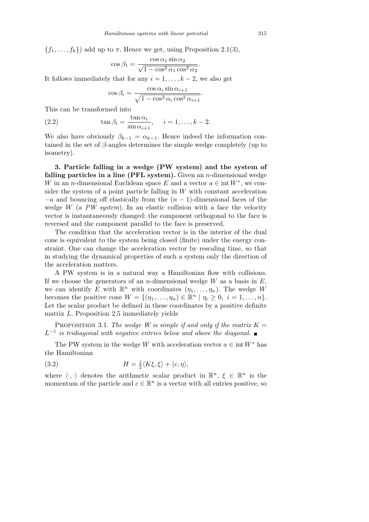${f_1, \ldots, f_k}$  add up to  $\pi$ . Hence we get, using Proposition 2.1(3),

$$
\cos \beta_1 = \frac{\cos \alpha_1 \sin \alpha_2}{\sqrt{1 - \cos^2 \alpha_1 \cos^2 \alpha_2}}
$$

*.*

It follows immediately that for any  $i = 1, \ldots, k-2$ , we also get

$$
\cos \beta_i = \frac{\cos \alpha_i \sin \alpha_{i+1}}{\sqrt{1 - \cos^2 \alpha_i \cos^2 \alpha_{i+1}}}.
$$

This can be transformed into

(2.2) 
$$
\tan \beta_i = \frac{\tan \alpha_i}{\sin \alpha_{i+1}}, \quad i = 1, ..., k-2.
$$

We also have obviously  $\beta_{k-1} = \alpha_{k-1}$ . Hence indeed the information contained in the set of *β*-angles determines the simple wedge completely (up to isometry).

**3. Particle falling in a wedge (PW system) and the system of falling particles in a line (PFL system).** Given an *n*-dimensional wedge *W* in an *n*-dimensional Euclidean space *E* and a vector  $a \in \text{int } W^*$ , we consider the system of a point particle falling in *W* with constant acceleration *−a* and bouncing off elastically from the (*n −* 1)-dimensional faces of the wedge *W* (a *PW system*). In an elastic collision with a face the velocity vector is instantaneously changed: the component orthogonal to the face is reversed and the component parallel to the face is preserved.

The condition that the acceleration vector is in the interior of the dual cone is equivalent to the system being closed (finite) under the energy constraint. One can change the acceleration vector by rescaling time, so that in studying the dynamical properties of such a system only the direction of the acceleration matters.

A PW system is in a natural way a Hamiltonian flow with collisions. If we choose the generators of an *n*-dimensional wedge *W* as a basis in *E*, we can identify E with  $\mathbb{R}^n$  with coordinates  $(\eta_1, \ldots, \eta_n)$ . The wedge W becomes the positive cone  $W = \{(\eta_1, \dots, \eta_n) \in \mathbb{R}^n \mid \eta_i \geq 0, i = 1, \dots, n\}.$ Let the scalar product be defined in these coordinates by a positive definite matrix *L*. Proposition 2.5 immediately yields

PROPOSITION 3.1. *The wedge W is simple if and only if the matrix*  $K =$ *L −*1 *is tridiagonal with negative entries below and above the diagonal.*

The PW system in the wedge *W* with acceleration vector  $a \in \text{int } W^*$  has the Hamiltonian

(3.2) 
$$
H = \frac{1}{2} \langle K\xi, \xi \rangle + \langle c, \eta \rangle,
$$

where  $\langle \cdot, \cdot \rangle$  denotes the arithmetic scalar product in  $\mathbb{R}^n$ ,  $\xi \in \mathbb{R}^n$  is the momentum of the particle and  $c \in \mathbb{R}^n$  is a vector with all entries positive, so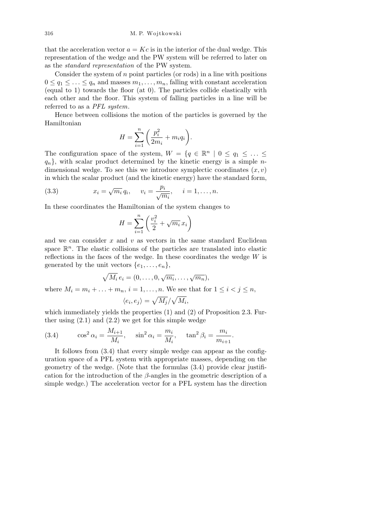that the acceleration vector  $a = Kc$  is in the interior of the dual wedge. This representation of the wedge and the PW system will be referred to later on as the *standard representation* of the PW system.

Consider the system of *n* point particles (or rods) in a line with positions  $0 \leq q_1 \leq \ldots \leq q_n$  and masses  $m_1, \ldots, m_n$ , falling with constant acceleration (equal to 1) towards the floor (at 0). The particles collide elastically with each other and the floor. This system of falling particles in a line will be referred to as a *PFL system*.

Hence between collisions the motion of the particles is governed by the Hamiltonian  $\overline{\phantom{a}}$  $\mathbf{r}$ 

$$
H = \sum_{i=1}^{n} \left( \frac{p_i^2}{2m_i} + m_i q_i \right).
$$

The configuration space of the system,  $W = \{q \in \mathbb{R}^n \mid 0 \leq q_1 \leq \ldots \leq q_n\}$  $q_n$ , with scalar product determined by the kinetic energy is a simple *n*dimensional wedge. To see this we introduce symplectic coordinates (*x, v*) in which the scalar product (and the kinetic energy) have the standard form,

(3.3) 
$$
x_i = \sqrt{m_i} q_i, \quad v_i = \frac{p_i}{\sqrt{m_i}}, \quad i = 1, ..., n.
$$

In these coordinates the Hamiltonian of the system changes to

$$
H = \sum_{i=1}^{n} \left( \frac{v_i^2}{2} + \sqrt{m_i} \, x_i \right)
$$

and we can consider *x* and *v* as vectors in the same standard Euclidean space  $\mathbb{R}^n$ . The elastic collisions of the particles are translated into elastic reflections in the faces of the wedge. In these coordinates the wedge *W* is generated by the unit vectors  $\{e_1, \ldots, e_n\}$ ,

$$
\sqrt{M_i} e_i = (0, \ldots, 0, \sqrt{m_i}, \ldots, \sqrt{m_n}),
$$

where  $M_i = m_i + \ldots + m_n$ ,  $i = 1, \ldots, n$ . We see that for  $1 \leq i < j \leq n$ ,

$$
\langle e_i, e_j \rangle = \sqrt{M_j}/\sqrt{M_i},
$$

which immediately yields the properties (1) and (2) of Proposition 2.3. Further using  $(2.1)$  and  $(2.2)$  we get for this simple wedge

(3.4) 
$$
\cos^2 \alpha_i = \frac{M_{i+1}}{M_i}, \quad \sin^2 \alpha_i = \frac{m_i}{M_i}, \quad \tan^2 \beta_i = \frac{m_i}{m_{i+1}}.
$$

It follows from (3.4) that every simple wedge can appear as the configuration space of a PFL system with appropriate masses, depending on the geometry of the wedge. (Note that the formulas (3.4) provide clear justification for the introduction of the *β*-angles in the geometric description of a simple wedge.) The acceleration vector for a PFL system has the direction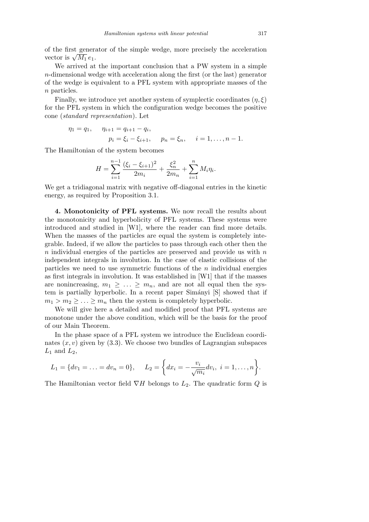of the first generator of the simple wedge, more precisely the acceleration or the first generation of the first  $\sqrt{M_1} e_1$ .

We arrived at the important conclusion that a PW system in a simple *n*-dimensional wedge with acceleration along the first (or the last) generator of the wedge is equivalent to a PFL system with appropriate masses of the *n* particles.

Finally, we introduce yet another system of symplectic coordinates  $(\eta, \xi)$ for the PFL system in which the configuration wedge becomes the positive cone (*standard representation*). Let

$$
\eta_1 = q_1, \quad \eta_{i+1} = q_{i+1} - q_i,
$$
  
\n $p_i = \xi_i - \xi_{i+1}, \quad p_n = \xi_n, \quad i = 1, ..., n-1.$ 

The Hamiltonian of the system becomes

$$
H = \sum_{i=1}^{n-1} \frac{(\xi_i - \xi_{i+1})^2}{2m_i} + \frac{\xi_n^2}{2m_n} + \sum_{i=1}^n M_i \eta_i.
$$

We get a tridiagonal matrix with negative off-diagonal entries in the kinetic energy, as required by Proposition 3.1.

**4. Monotonicity of PFL systems.** We now recall the results about the monotonicity and hyperbolicity of PFL systems. These systems were introduced and studied in [W1], where the reader can find more details. When the masses of the particles are equal the system is completely integrable. Indeed, if we allow the particles to pass through each other then the *n* individual energies of the particles are preserved and provide us with *n* independent integrals in involution. In the case of elastic collisions of the particles we need to use symmetric functions of the *n* individual energies as first integrals in involution. It was established in [W1] that if the masses are nonincreasing,  $m_1 \geq \ldots \geq m_n$ , and are not all equal then the system is partially hyperbolic. In a recent paper Simányi [S] showed that if  $m_1 > m_2 \geq \ldots \geq m_n$  then the system is completely hyperbolic.

We will give here a detailed and modified proof that PFL systems are monotone under the above condition, which will be the basis for the proof of our Main Theorem.

In the phase space of a PFL system we introduce the Euclidean coordinates  $(x, v)$  given by  $(3.3)$ . We choose two bundles of Lagrangian subspaces  $L_1$  and  $L_2$ ,

$$
L_1 = \{dv_1 = \ldots = dv_n = 0\}, \quad L_2 = \bigg\{dx_i = -\frac{v_i}{\sqrt{m_i}}dv_i, \ i = 1, \ldots, n\bigg\}.
$$

The Hamiltonian vector field *∇H* belongs to *L*2. The quadratic form *Q* is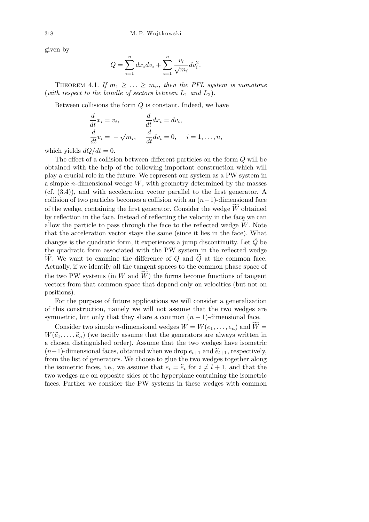given by

$$
Q = \sum_{i=1}^{n} dx_i dv_i + \sum_{i=1}^{n} \frac{v_i}{\sqrt{m_i}} dv_i^2.
$$

THEOREM 4.1. If  $m_1 \geq ... \geq m_n$ , then the PFL system is monotone (*with respect to the bundle of sectors between*  $L_1$  *and*  $L_2$ ).

Between collisions the form *Q* is constant. Indeed, we have

$$
\frac{d}{dt}x_i = v_i, \qquad \frac{d}{dt}dx_i = dv_i, \n\frac{d}{dt}v_i = -\sqrt{m_i}, \qquad \frac{d}{dt}dv_i = 0, \qquad i = 1, \dots, n,
$$

which yields  $dQ/dt = 0$ .

The effect of a collision between different particles on the form *Q* will be obtained with the help of the following important construction which will play a crucial role in the future. We represent our system as a PW system in a simple *n*-dimensional wedge *W*, with geometry determined by the masses (cf. (3.4)), and with acceleration vector parallel to the first generator. A collision of two particles becomes a collision with an (*n−*1)-dimensional face of the wedge, containing the first generator. Consider the wedge *W* obtained by reflection in the face. Instead of reflecting the velocity in the face we can allow the particle to pass through the face to the reflected wedge  $W$ . Note that the acceleration vector stays the same (since it lies in the face). What changes is the quadratic form, it experiences a jump discontinuity. Let  $\tilde{Q}$  be the quadratic form associated with the PW system in the reflected wedge *W*. We want to examine the difference of *Q* and *Q* at the common face. Actually, if we identify all the tangent spaces to the common phase space of the two PW systems (in  $W$  and  $W$ ) the forms become functions of tangent vectors from that common space that depend only on velocities (but not on positions).

For the purpose of future applications we will consider a generalization of this construction, namely we will not assume that the two wedges are symmetric, but only that they share a common  $(n-1)$ -dimensional face.

Consider two simple *n*-dimensional wedges  $W = W(e_1, \ldots, e_n)$  and  $\widetilde{W} =$  $W(\tilde{e}_1, \ldots, \tilde{e}_n)$  (we tacitly assume that the generators are always written in a chosen distinguished order). Assume that the two wedges have isometric  $(n-1)$ -dimensional faces, obtained when we drop  $e_{l+1}$  and  $\tilde{e}_{l+1}$ , respectively, from the list of generators. We choose to glue the two wedges together along the isometric faces, i.e., we assume that  $e_i = \tilde{e}_i$  for  $i \neq l + 1$ , and that the two wedges are on opposite sides of the hyperplane containing the isometric faces. Further we consider the PW systems in these wedges with common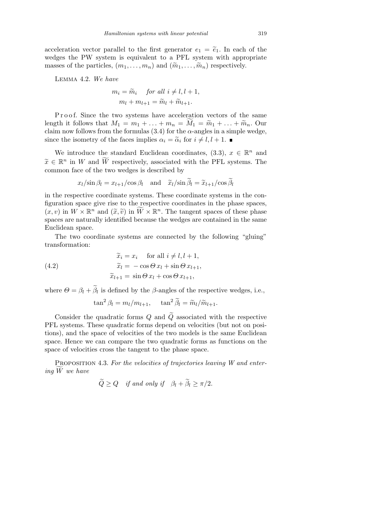acceleration vector parallel to the first generator  $e_1 = \tilde{e}_1$ . In each of the wedges the PW system is equivalent to a PFL system with appropriate masses of the particles,  $(m_1, \ldots, m_n)$  and  $(\widetilde{m}_1, \ldots, \widetilde{m}_n)$  respectively.

Lemma 4.2. *We have*

$$
m_i = \widetilde{m}_i \quad \text{for all } i \neq l, l+1,
$$

$$
m_l + m_{l+1} = \widetilde{m}_l + \widetilde{m}_{l+1}.
$$

P r o o f. Since the two systems have acceleration vectors of the same length it follows that  $M_1 = m_1 + \ldots + m_n = M_1 = \widetilde{m}_1 + \ldots + \widetilde{m}_n$ . Our claim now follows from the formulas  $(3.4)$  for the  $\alpha$ -angles in a simple wedge, since the isometry of the faces implies  $\alpha_i = \tilde{\alpha}_i$  for  $i \neq l, l + 1$ .

We introduce the standard Euclidean coordinates,  $(3.3)$ ,  $x \in \mathbb{R}^n$  and  $\widetilde{x} \in \mathbb{R}^n$  in *W* and  $\widetilde{W}$  respectively, associated with the PFL systems. The common face of the two wedges is described by

$$
x_l/\sin \beta_l = x_{l+1}/\cos \beta_l
$$
 and  $\tilde{x}_l/\sin \tilde{\beta}_l = \tilde{x}_{l+1}/\cos \tilde{\beta}_l$ 

in the respective coordinate systems. These coordinate systems in the configuration space give rise to the respective coordinates in the phase spaces,  $(x, v)$  in  $W \times \mathbb{R}^n$  and  $(\tilde{x}, \tilde{v})$  in  $\widetilde{W} \times \mathbb{R}^n$ . The tangent spaces of these phase spaces are naturally identified because the wedges are contained in the same Euclidean space.

The two coordinate systems are connected by the following "gluing" transformation:

(4.2) 
$$
\begin{aligned}\n\widetilde{x}_i &= x_i \quad \text{for all } i \neq l, l+1, \\
\widetilde{x}_l &= -\cos\Theta \, x_l + \sin\Theta \, x_{l+1}, \\
\widetilde{x}_{l+1} &= \sin\Theta \, x_l + \cos\Theta \, x_{l+1},\n\end{aligned}
$$

where  $\Theta = \beta_l + \tilde{\beta}_l$  is defined by the  $\beta$ -angles of the respective wedges, i.e.,

$$
\tan^2 \beta_l = m_l/m_{l+1}, \quad \tan^2 \tilde{\beta}_l = \tilde{m}_l/\tilde{m}_{l+1}.
$$

Consider the quadratic forms  $Q$  and  $\tilde{Q}$  associated with the respective PFL systems. These quadratic forms depend on velocities (but not on positions), and the space of velocities of the two models is the same Euclidean space. Hence we can compare the two quadratic forms as functions on the space of velocities cross the tangent to the phase space.

PROPOSITION 4.3. For the velocities of trajectories leaving W and enter*ing W*f *we have*

$$
\widetilde{Q} \ge Q \quad \text{if and only if} \quad \beta_l + \widetilde{\beta}_l \ge \pi/2.
$$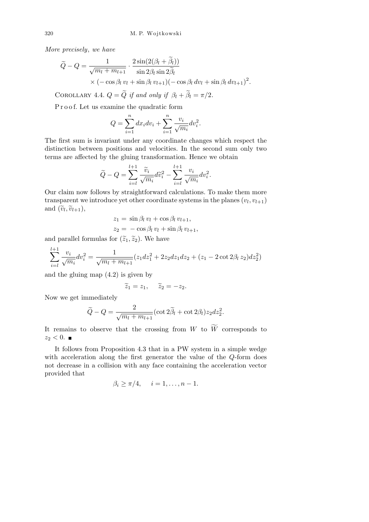*More precisely*, *we have*

$$
\widetilde{Q} - Q = \frac{1}{\sqrt{m_l + m_{l+1}}} \cdot \frac{2 \sin(2(\beta_l + \widetilde{\beta}_l))}{\sin 2\beta_l \sin 2\widetilde{\beta}_l} \times (-\cos \beta_l v_l + \sin \beta_l v_{l+1}) (-\cos \beta_l dv_l + \sin \beta_l dv_{l+1})^2.
$$

COROLLARY 4.4.  $Q = \widetilde{Q}$  *if and only if*  $\beta_l + \widetilde{\beta}_l = \pi/2$ *.* 

Proof. Let us examine the quadratic form

$$
Q = \sum_{i=1}^{n} dx_i dv_i + \sum_{i=1}^{n} \frac{v_i}{\sqrt{m_i}} dv_i^2.
$$

The first sum is invariant under any coordinate changes which respect the distinction between positions and velocities. In the second sum only two terms are affected by the gluing transformation. Hence we obtain

$$
\widetilde{Q} - Q = \sum_{i=1}^{l+1} \frac{\widetilde{v}_i}{\sqrt{m_i}} d\widetilde{v}_i^2 - \sum_{i=l}^{l+1} \frac{v_i}{\sqrt{m_i}} dv_i^2.
$$

Our claim now follows by straightforward calculations. To make them more transparent we introduce yet other coordinate systems in the planes  $(v_l, v_{l+1})$ and  $(\tilde{v}_l, \tilde{v}_{l+1}),$ 

$$
z_1 = \sin \beta_l v_l + \cos \beta_l v_{l+1},
$$
  

$$
z_2 = -\cos \beta_l v_l + \sin \beta_l v_{l+1},
$$

and parallel formulas for  $(\tilde{z}_1, \tilde{z}_2)$ . We have

$$
\sum_{i=1}^{l+1} \frac{v_i}{\sqrt{m_i}} dv_i^2 = \frac{1}{\sqrt{m_l + m_{l+1}}} (z_1 dz_1^2 + 2z_2 dz_1 dz_2 + (z_1 - 2 \cot 2\beta_l z_2) dz_2^2)
$$

and the gluing map (4.2) is given by

$$
\widetilde{z}_1=z_1,\quad \widetilde{z}_2=-z_2.
$$

Now we get immediately

$$
\widetilde{Q} - Q = \frac{2}{\sqrt{m_l + m_{l+1}}} (\cot 2\widetilde{\beta}_l + \cot 2\beta_l) z_2 dz_2^2.
$$

It remains to observe that the crossing from  $W$  to  $\widetilde{W}$  corresponds to  $z_2 < 0$ .

It follows from Proposition 4.3 that in a PW system in a simple wedge with acceleration along the first generator the value of the *Q*-form does not decrease in a collision with any face containing the acceleration vector provided that

$$
\beta_i \ge \pi/4, \quad i = 1, \dots, n-1.
$$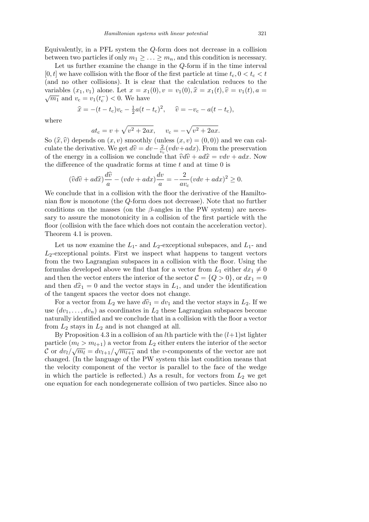Equivalently, in a PFL system the *Q*-form does not decrease in a collision between two particles if only  $m_1 \geq \ldots \geq m_n$ , and this condition is necessary.

Let us further examine the change in the *Q*-form if in the time interval  $[0, t]$  we have collision with the floor of the first particle at time  $t_c$ ,  $0 < t_c < t$ (and no other collisions). It is clear that the calculation reduces to the variables  $(x_1, v_1)$  alone. Let  $x = x_1(0), v = v_1(0), \hat{x} = x_1(t), \hat{v} = v_1(t), a =$  $\overline{m_1}$  and  $v_c = v_1(t_c^-) < 0$ . We have

$$
\hat{x} = -(t - t_c)v_c - \frac{1}{2}a(t - t_c)^2
$$
,  $\hat{v} = -v_c - a(t - t_c)$ ,

where

$$
at_c = v + \sqrt{v^2 + 2ax}
$$
,  $v_c = -\sqrt{v^2 + 2ax}$ .

So  $(\hat{x}, \hat{v})$  depends on  $(x, v)$  smoothly (unless  $(x, v) = (0, 0)$ ) and we can calculate the derivative. We get  $d\hat{v} = dv - \frac{2}{v}$  $\frac{2}{v_c}(vdv+adv)$ . From the preservation of the energy in a collision we conclude that  $\hat{v}d\hat{v} + ad\hat{x} = vdv + adx$ . Now the difference of the quadratic forms at time *t* and at time 0 is

$$
(\widehat{v}d\widehat{v} + ad\widehat{x})\frac{d\widehat{v}}{a} - (vdv + adx)\frac{dv}{a} = -\frac{2}{av_{c}}(vdv + adx)^{2} \ge 0.
$$

We conclude that in a collision with the floor the derivative of the Hamiltonian flow is monotone (the *Q*-form does not decrease). Note that no further conditions on the masses (on the *β*-angles in the PW system) are necessary to assure the monotonicity in a collision of the first particle with the floor (collision with the face which does not contain the acceleration vector). Theorem 4.1 is proven.

Let us now examine the  $L_1$ - and  $L_2$ -exceptional subspaces, and  $L_1$ - and  $L_2$ -exceptional points. First we inspect what happens to tangent vectors from the two Lagrangian subspaces in a collision with the floor. Using the formulas developed above we find that for a vector from  $L_1$  either  $dx_1 \neq 0$ and then the vector enters the interior of the sector  $C = \{Q > 0\}$ , or  $dx_1 = 0$ and then  $d\hat{x}_1 = 0$  and the vector stays in  $L_1$ , and under the identification of the tangent spaces the vector does not change.

For a vector from  $L_2$  we have  $d\hat{v}_1 = dv_1$  and the vector stays in  $L_2$ . If we use  $(dv_1, \ldots, dv_n)$  as coordinates in  $L_2$  these Lagrangian subspaces become naturally identified and we conclude that in a collision with the floor a vector from *L*<sup>2</sup> stays in *L*<sup>2</sup> and is not changed at all.

By Proposition 4.3 in a collision of an *l*th particle with the  $(l+1)$ st lighter particle  $(m_l > m_{l+1})$  a vector from  $L_2$  either enters the interior of the sector C or  $dv_l/\sqrt{m_l} = dv_{l+1}/\sqrt{m_{l+1}}$  and the *v*-components of the vector are not changed. (In the language of the PW system this last condition means that the velocity component of the vector is parallel to the face of the wedge in which the particle is reflected.) As a result, for vectors from  $L_2$  we get one equation for each nondegenerate collision of two particles. Since also no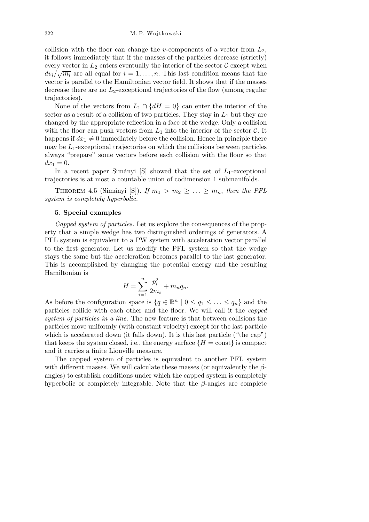collision with the floor can change the *v*-components of a vector from *L*2, it follows immediately that if the masses of the particles decrease (strictly) every vector in  $L_2$  enters eventually the interior of the sector  $\mathcal{C}$  except when  $dv_i/\sqrt{m_i}$  are all equal for  $i = 1, \ldots, n$ . This last condition means that the vector is parallel to the Hamiltonian vector field. It shows that if the masses decrease there are no *L*2-exceptional trajectories of the flow (among regular trajectories).

None of the vectors from  $L_1 \cap \{dH = 0\}$  can enter the interior of the sector as a result of a collision of two particles. They stay in *L*<sup>1</sup> but they are changed by the appropriate reflection in a face of the wedge. Only a collision with the floor can push vectors from  $L_1$  into the interior of the sector  $\mathcal{C}$ . It happens if  $dx_1 \neq 0$  immediately before the collision. Hence in principle there may be  $L_1$ -exceptional trajectories on which the collisions between particles always "prepare" some vectors before each collision with the floor so that  $dx_1 = 0.$ 

In a recent paper Simányi  $[S]$  showed that the set of  $L_1$ -exceptional trajectories is at most a countable union of codimension 1 submanifolds.

THEOREM 4.5 (Simányi [S]). *If*  $m_1 > m_2 \geq \ldots \geq m_n$ , then the PFL *system is completely hyperbolic.*

## **5. Special examples**

*Capped system of particles*. Let us explore the consequences of the property that a simple wedge has two distinguished orderings of generators. A PFL system is equivalent to a PW system with acceleration vector parallel to the first generator. Let us modify the PFL system so that the wedge stays the same but the acceleration becomes parallel to the last generator. This is accomplished by changing the potential energy and the resulting Hamiltonian is

$$
H = \sum_{i=1}^{n} \frac{p_i^2}{2m_i} + m_n q_n.
$$

As before the configuration space is  $\{q \in \mathbb{R}^n \mid 0 \le q_1 \le \ldots \le q_n\}$  and the particles collide with each other and the floor. We will call it the *capped system of particles in a line*. The new feature is that between collisions the particles move uniformly (with constant velocity) except for the last particle which is accelerated down (it falls down). It is this last particle ("the cap") that keeps the system closed, i.e., the energy surface  ${H = const}$  is compact and it carries a finite Liouville measure.

The capped system of particles is equivalent to another PFL system with different masses. We will calculate these masses (or equivalently the *β*angles) to establish conditions under which the capped system is completely hyperbolic or completely integrable. Note that the *β*-angles are complete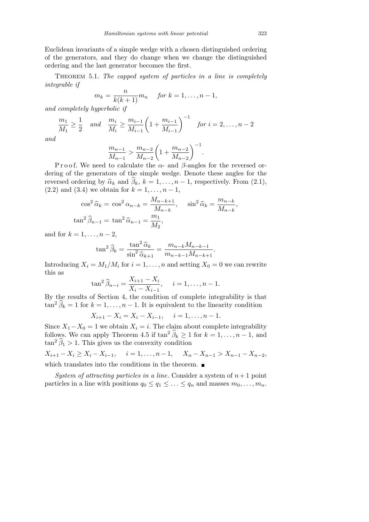Euclidean invariants of a simple wedge with a chosen distinguished ordering of the generators, and they do change when we change the distinguished ordering and the last generator becomes the first.

Theorem 5.1. *The capped system of particles in a line is completely integrable if*

$$
m_k = \frac{n}{k(k+1)} m_n \quad \text{for } k = 1, \dots, n-1,
$$

*and completely hyperbolic if*

$$
\frac{m_1}{M_1} \ge \frac{1}{2} \quad \text{and} \quad \frac{m_i}{M_i} \ge \frac{m_{i-1}}{M_{i-1}} \left( 1 + \frac{m_{i-1}}{M_{i-1}} \right)^{-1} \quad \text{for } i = 2, \dots, n-2
$$

*and*

$$
\frac{m_{n-1}}{M_{n-1}} > \frac{m_{n-2}}{M_{n-2}} \left( 1 + \frac{m_{n-2}}{M_{n-2}} \right)^{-1}
$$

*.*

P r o o f. We need to calculate the  $\alpha$ - and  $\beta$ -angles for the reversed ordering of the generators of the simple wedge. Denote these angles for the reversed ordering by  $\hat{\alpha}_k$  and  $\hat{\beta}_k$ ,  $k = 1, \ldots, n-1$ , respectively. From (2.1), (2.2) and (3.4) we obtain for  $k = 1, ..., n - 1$ ,

$$
\cos^2 \hat{\alpha}_k = \cos^2 \alpha_{n-k} = \frac{M_{n-k+1}}{M_{n-k}}, \quad \sin^2 \hat{\alpha}_k = \frac{m_{n-k}}{M_{n-k}},
$$

$$
\tan^2 \hat{\beta}_{n-1} = \tan^2 \hat{\alpha}_{n-1} = \frac{m_1}{M_2},
$$

and for  $k = 1, ..., n-2$ ,

$$
\tan^2 \hat{\beta}_k = \frac{\tan^2 \hat{\alpha}_k}{\sin^2 \hat{\alpha}_{k+1}} = \frac{m_{n-k} M_{n-k-1}}{m_{n-k-1} M_{n-k+1}}.
$$

Introducing  $X_i = M_1/M_i$  for  $i = 1, ..., n$  and setting  $X_0 = 0$  we can rewrite this as

$$
\tan^2 \widehat{\beta}_{n-i} = \frac{X_{i+1} - X_i}{X_i - X_{i-1}}, \quad i = 1, \dots, n-1.
$$

By the results of Section 4, the condition of complete integrability is that  $\tan^2 \widehat{\beta}_k = 1$  for  $k = 1, \ldots, n - 1$ . It is equivalent to the linearity condition

$$
X_{i+1} - X_i = X_i - X_{i-1}, \quad i = 1, \dots, n-1.
$$

Since  $X_1 - X_0 = 1$  we obtain  $X_i = i$ . The claim about complete integrability follows. We can apply Theorem 4.5 if  $\tan^2 \widehat{\beta}_k \geq 1$  for  $k = 1, \ldots, n-1$ , and  $\tan^2 \widehat{\beta}_1 > 1$ . This gives us the convexity condition

 $X_{i+1} - X_i \ge X_i - X_{i-1}, \quad i = 1, \ldots, n-1, \quad X_n - X_{n-1} > X_{n-1} - X_{n-2},$ which translates into the conditions in the theorem.  $\blacksquare$ 

*System of attracting particles in a line*. Consider a system of *n*+ 1 point particles in a line with positions  $q_0 \leq q_1 \leq \ldots \leq q_n$  and masses  $m_0, \ldots, m_n$ .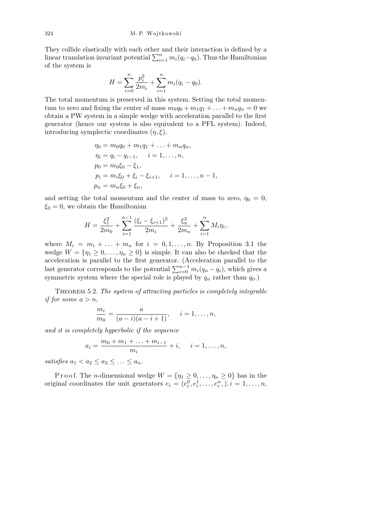They collide elastically with each other and their interaction is defined by a linear translation invariant potential  $\sum_{i=1}^{n} m_i(q_i - q_0)$ . Thus the Hamiltonian of the system is

$$
H = \sum_{i=0}^{n} \frac{p_i^2}{2m_i} + \sum_{i=1}^{n} m_i (q_i - q_0).
$$

The total momentum is preserved in this system. Setting the total momentum to zero and fixing the center of mass  $m_0q_0 + m_1q_1 + \ldots + m_nq_n = 0$  we obtain a PW system in a simple wedge with acceleration parallel to the first generator (hence our system is also equivalent to a PFL system). Indeed, introducing symplectic coordinates (*η, ξ*),

$$
\eta_0 = m_0 q_0 + m_1 q_1 + \dots + m_n q_n,
$$
  
\n
$$
\eta_i = q_i - q_{i-1}, \quad i = 1, \dots, n,
$$
  
\n
$$
p_0 = m_0 \xi_0 - \xi_1,
$$
  
\n
$$
p_i = m_i \xi_0 + \xi_i - \xi_{i+1}, \quad i = 1, \dots, n-1,
$$
  
\n
$$
p_n = m_n \xi_0 + \xi_n,
$$

and setting the total momentum and the center of mass to zero,  $\eta_0 = 0$ ,  $\xi_0 = 0$ , we obtain the Hamiltonian

$$
H = \frac{\xi_1^2}{2m_0} + \sum_{i=1}^{n-1} \frac{(\xi_i - \xi_{i+1})^2}{2m_i} + \frac{\xi_n^2}{2m_n} + \sum_{i=1}^n M_i \eta_i,
$$

where  $M_i = m_i + \ldots + m_n$  for  $i = 0, 1, \ldots, n$ . By Proposition 3.1 the wedge  $W = \{\eta_1 \geq 0, \dots, \eta_n \geq 0\}$  is simple. It can also be checked that the acceleration is parallel to the first generator. (Acceleration parallel to the last generator corresponds to the potential  $\sum_{i=0}^{n-1} m_i (q_n - q_i)$ , which gives a symmetric system where the special role is played by  $q_n$  rather than  $q_0$ .)

Theorem 5.2. *The system of attracting particles is completely integrable if for some*  $a > n$ ,

$$
\frac{m_i}{m_0} = \frac{a}{(a-i)(a-i+1)}, \quad i = 1, \dots, n,
$$

*and it is completely hyperbolic if the sequence*

$$
a_i = \frac{m_0 + m_1 + \ldots + m_{i-1}}{m_i} + i, \quad i = 1, \ldots, n,
$$

*satisfies*  $a_1 < a_2 \le a_3 \le \ldots \le a_n$ .

P r o o f. The *n*-dimensional wedge  $W = \{\eta_1 \geq 0, \ldots, \eta_n \geq 0\}$  has in the original coordinates the unit generators  $e_i = (e_i^0, e_i^1, \dots, e_i^n, )$ ,  $i = 1, \dots, n$ ,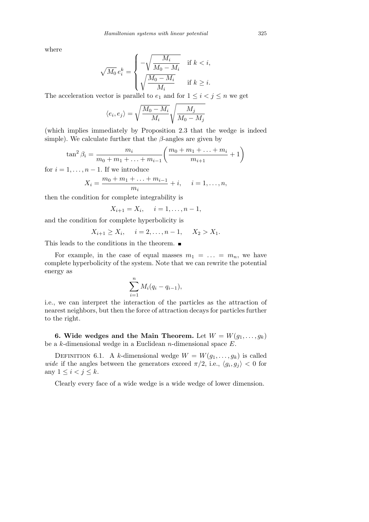where

$$
\sqrt{M_0} e_i^k = \begin{cases} -\sqrt{\frac{M_i}{M_0 - M_i}} & \text{if } k < i, \\ \sqrt{\frac{M_0 - M_i}{M_i}} & \text{if } k \geq i. \end{cases}
$$

The acceleration vector is parallel to  $e_1$  and for  $1 \leq i < j \leq n$  we get s

$$
\langle e_i, e_j \rangle = \sqrt{\frac{M_0 - M_i}{M_i}} \sqrt{\frac{M_j}{M_0 - M_j}}
$$

(which implies immediately by Proposition 2.3 that the wedge is indeed simple). We calculate further that the *β*-angles are given by

$$
\tan^2 \beta_i = \frac{m_i}{m_0 + m_1 + \ldots + m_{i-1}} \left( \frac{m_0 + m_1 + \ldots + m_i}{m_{i+1}} + 1 \right)
$$

for  $i = 1, \ldots, n - 1$ . If we introduce

$$
X_i = \frac{m_0 + m_1 + \ldots + m_{i-1}}{m_i} + i, \quad i = 1, \ldots, n,
$$

then the condition for complete integrability is

$$
X_{i+1} = X_i, \quad i = 1, \dots, n-1,
$$

and the condition for complete hyperbolicity is

$$
X_{i+1} \ge X_i
$$
,  $i = 2,...,n-1$ ,  $X_2 > X_1$ .

This leads to the conditions in the theorem.  $\blacksquare$ 

For example, in the case of equal masses  $m_1 = \ldots = m_n$ , we have complete hyperbolicity of the system. Note that we can rewrite the potential energy as

$$
\sum_{i=1}^n M_i(q_i-q_{i-1}),
$$

i.e., we can interpret the interaction of the particles as the attraction of nearest neighbors, but then the force of attraction decays for particles further to the right.

**6. Wide wedges and the Main Theorem.** Let  $W = W(g_1, \ldots, g_k)$ be a *k*-dimensional wedge in a Euclidean *n*-dimensional space *E*.

DEFINITION 6.1. A *k*-dimensional wedge  $W = W(g_1, \ldots, g_k)$  is called *wide* if the angles between the generators exceed  $\pi/2$ , i.e.,  $\langle g_i, g_j \rangle < 0$  for any  $1 \leq i < j \leq k$ .

Clearly every face of a wide wedge is a wide wedge of lower dimension.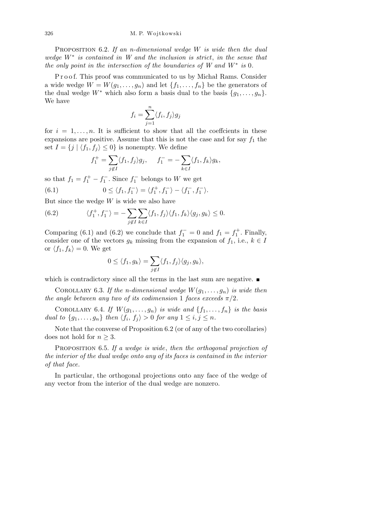Proposition 6.2. *If an n-dimensional wedge W is wide then the dual wedge W<sup>∗</sup> is contained in W and the inclusion is strict*, *in the sense that the only point in the intersection of the boundaries of W and W<sup>∗</sup> is* 0*.*

Proof. This proof was communicated to us by Michał Rams. Consider a wide wedge  $W = W(g_1, \ldots, g_n)$  and let  $\{f_1, \ldots, f_n\}$  be the generators of the dual wedge  $W^*$  which also form a basis dual to the basis  $\{g_1, \ldots, g_n\}$ . We have

$$
f_i = \sum_{j=1}^n \langle f_i, f_j \rangle g_j
$$

for  $i = 1, \ldots, n$ . It is sufficient to show that all the coeffcients in these expansions are positive. Assume that this is not the case and for say  $f_1$  the set  $I = \{j \mid \langle f_1, f_j \rangle \leq 0\}$  is nonempty. We define

$$
f_1^+ = \sum_{j \notin I} \langle f_1, f_j \rangle g_j, \quad f_1^- = - \sum_{k \in I} \langle f_1, f_k \rangle g_k,
$$

so that  $f_1 = f_1^+ - f_1^-$ . Since  $f_1^-$  belongs to *W* we get

(6.1) 
$$
0 \le \langle f_1, f_1^- \rangle = \langle f_1^+, f_1^- \rangle - \langle f_1^-, f_1^- \rangle.
$$

But since the wedge *W* is wide we also have

(6.2) 
$$
\langle f_1^+, f_1^- \rangle = - \sum_{j \notin I} \sum_{k \in I} \langle f_1, f_j \rangle \langle f_1, f_k \rangle \langle g_j, g_k \rangle \leq 0.
$$

Comparing (6.1) and (6.2) we conclude that  $f_1^- = 0$  and  $f_1 = f_1^+$ . Finally, consider one of the vectors  $g_k$  missing from the expansion of  $f_1$ , i.e.,  $k \in I$ or  $\langle f_1, f_k \rangle = 0$ . We get

$$
0 \le \langle f_1, g_k \rangle = \sum_{j \notin I} \langle f_1, f_j \rangle \langle g_j, g_k \rangle,
$$

which is contradictory since all the terms in the last sum are negative.

COROLLARY 6.3. If the *n*-dimensional wedge  $W(g_1, \ldots, g_n)$  is wide then *the angle between any two of its codimension* 1 *faces exceeds*  $\pi/2$ *.* 

COROLLARY 6.4. *If*  $W(g_1, \ldots, g_n)$  *is wide and*  $\{f_1, \ldots, f_n\}$  *is the basis dual to*  $\{g_1, \ldots, g_n\}$  *then*  $\langle f_i, f_j \rangle > 0$  *for any*  $1 \leq i, j \leq n$ *.* 

Note that the converse of Proposition 6.2 (or of any of the two corollaries) does not hold for  $n \geq 3$ .

Proposition 6.5. *If a wedge is wide*, *then the orthogonal projection of the interior of the dual wedge onto any of its faces is contained in the interior of that face.*

In particular, the orthogonal projections onto any face of the wedge of any vector from the interior of the dual wedge are nonzero.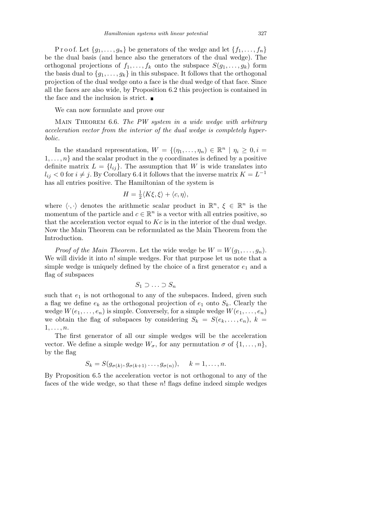Proof. Let  $\{g_1, \ldots, g_n\}$  be generators of the wedge and let  $\{f_1, \ldots, f_n\}$ be the dual basis (and hence also the generators of the dual wedge). The orthogonal projections of  $f_1, \ldots, f_k$  onto the subspace  $S(g_1, \ldots, g_k)$  form the basis dual to  ${g_1, \ldots, g_k}$  in this subspace. It follows that the orthogonal projection of the dual wedge onto a face is the dual wedge of that face. Since all the faces are also wide, by Proposition 6.2 this projection is contained in the face and the inclusion is strict.  $\blacksquare$ 

We can now formulate and prove our

Main Theorem 6.6. *The PW system in a wide wedge with arbitrary acceleration vector from the interior of the dual wedge is completely hyperbolic.*

In the standard representation,  $W = \{(\eta_1, \ldots, \eta_n) \in \mathbb{R}^n \mid \eta_i \geq 0, i = 1, \ldots, n\}$  $1, \ldots, n$ } and the scalar product in the *η* coordinates is defined by a positive definite matrix  $L = \{l_{ij}\}\$ . The assumption that *W* is wide translates into  $l_{ij}$  < 0 for  $i \neq j$ . By Corollary 6.4 it follows that the inverse matrix  $K = L^{-1}$ has all entries positive. The Hamiltonian of the system is

$$
H = \frac{1}{2} \langle K\xi, \xi \rangle + \langle c, \eta \rangle,
$$

where  $\langle \cdot, \cdot \rangle$  denotes the arithmetic scalar product in  $\mathbb{R}^n$ ,  $\xi \in \mathbb{R}^n$  is the momentum of the particle and  $c \in \mathbb{R}^n$  is a vector with all entries positive, so that the acceleration vector equal to *Kc* is in the interior of the dual wedge. Now the Main Theorem can be reformulated as the Main Theorem from the Introduction.

*Proof of the Main Theorem.* Let the wide wedge be  $W = W(g_1, \ldots, g_n)$ . We will divide it into *n*! simple wedges. For that purpose let us note that a simple wedge is uniquely defined by the choice of a first generator  $e_1$  and a flag of subspaces

$$
S_1 \supset \ldots \supset S_n
$$

such that  $e_1$  is not orthogonal to any of the subspaces. Indeed, given such a flag we define  $e_k$  as the orthogonal projection of  $e_1$  onto  $S_k$ . Clearly the wedge  $W(e_1, \ldots, e_n)$  is simple. Conversely, for a simple wedge  $W(e_1, \ldots, e_n)$ we obtain the flag of subspaces by considering  $S_k = S(e_k, \ldots, e_n)$ ,  $k =$ 1*, . . . , n*.

The first generator of all our simple wedges will be the acceleration vector. We define a simple wedge  $W_{\sigma}$ , for any permutation  $\sigma$  of  $\{1, \ldots, n\}$ , by the flag

$$
S_k = S(g_{\sigma(k)}, g_{\sigma(k+1)} \dots, g_{\sigma(n)}), \quad k = 1, \dots, n.
$$

By Proposition 6.5 the acceleration vector is not orthogonal to any of the faces of the wide wedge, so that these *n*! flags define indeed simple wedges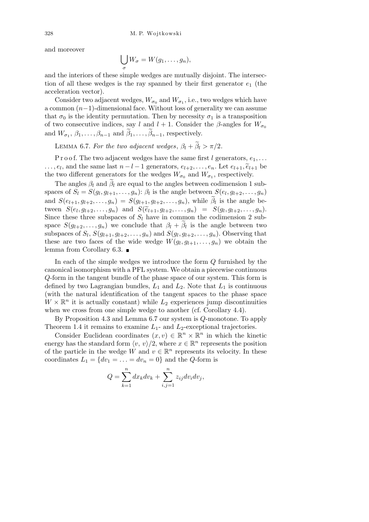and moreover

$$
\bigcup_{\sigma} W_{\sigma} = W(g_1, \ldots, g_n),
$$

and the interiors of these simple wedges are mutually disjoint. The intersection of all these wedges is the ray spanned by their first generator *e*<sup>1</sup> (the acceleration vector).

Consider two adjacent wedges,  $W_{\sigma_0}$  and  $W_{\sigma_1}$ , i.e., two wedges which have a common (*n−*1)-dimensional face. Without loss of generality we can assume that  $\sigma_0$  is the identity permutation. Then by necessity  $\sigma_1$  is a transposition of two consecutive indices, say *l* and  $l + 1$ . Consider the *β*-angles for  $W_{\sigma_0}$ and  $W_{\sigma_1}, \beta_1, \ldots, \beta_{n-1}$  and  $\tilde{\beta}_1, \ldots, \tilde{\beta}_{n-1}$ , respectively.

**LEMMA 6.7.** For the two adjacent wedges,  $\beta_l + \tilde{\beta}_l > \pi/2$ .

P r o o f. The two adjacent wedges have the same first *l* generators,  $e_1, \ldots$  $\dots, e_l$ , and the same last  $n - l - 1$  generators,  $e_{l+2}, \dots, e_n$ . Let  $e_{l+1}, \widetilde{e}_{l+1}$  be the two different generators for the wedges  $W_{\sigma_0}$  and  $W_{\sigma_1}$ , respectively.

The angles  $\beta_l$  and  $\tilde{\beta}_l$  are equal to the angles between codimension 1 subspaces of  $S_l = S(g_l, g_{l+1}, \ldots, g_n)$ :  $\beta_l$  is the angle between  $S(e_l, g_{l+2}, \ldots, g_n)$ and  $S(e_{l+1}, g_{l+2}, \ldots, g_n) = S(g_{l+1}, g_{l+2}, \ldots, g_n)$ , while  $\widetilde{\beta}_l$  is the angle between  $S(e_l, g_{l+2},..., g_n)$  and  $S(\tilde{e}_{l+1}, g_{l+2},..., g_n) = S(g_l, g_{l+2},..., g_n)$ . Since these three subspaces of  $S_l$  have in common the codimension 2 subspace  $S(g_{l+2},...,g_n)$  we conclude that  $\beta_l + \tilde{\beta}_l$  is the angle between two subspaces of  $S_l$ ,  $S(g_{l+1}, g_{l+2}, \ldots, g_n)$  and  $S(g_l, g_{l+2}, \ldots, g_n)$ . Observing that these are two faces of the wide wedge  $W(g_l, g_{l+1}, \ldots, g_n)$  we obtain the lemma from Corollary 6.3.

In each of the simple wedges we introduce the form *Q* furnished by the canonical isomorphism with a PFL system. We obtain a piecewise continuous *Q*-form in the tangent bundle of the phase space of our system. This form is defined by two Lagrangian bundles,  $L_1$  and  $L_2$ . Note that  $L_1$  is continuous (with the natural identification of the tangent spaces to the phase space  $W \times \mathbb{R}^n$  it is actually constant) while  $L_2$  experiences jump discontinuities when we cross from one simple wedge to another (cf. Corollary 4.4).

By Proposition 4.3 and Lemma 6.7 our system is *Q*-monotone. To apply Theorem 1.4 it remains to examine *L*1- and *L*2-exceptional trajectories.

Consider Euclidean coordinates  $(x, v) \in \mathbb{R}^n \times \mathbb{R}^n$  in which the kinetic energy has the standard form  $\langle v, v \rangle/2$ , where  $x \in \mathbb{R}^n$  represents the position of the particle in the wedge *W* and  $v \in \mathbb{R}^n$  represents its velocity. In these coordinates  $L_1 = \{dv_1 = \ldots = dv_n = 0\}$  and the *Q*-form is

$$
Q = \sum_{k=1}^{n} dx_k dv_k + \sum_{i,j=1}^{n} z_{ij} dv_i dv_j,
$$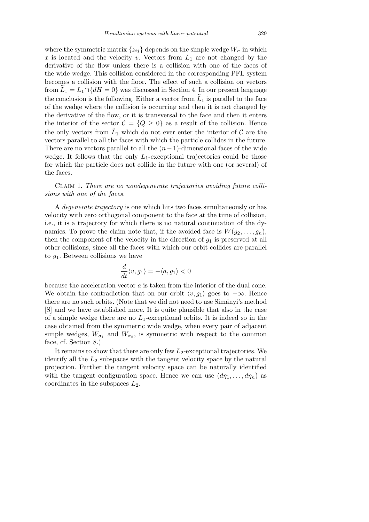where the symmetric matrix  $\{z_{ij}\}$  depends on the simple wedge  $W_{\sigma}$  in which  $x$  is located and the velocity  $v$ . Vectors from  $L_1$  are not changed by the derivative of the flow unless there is a collision with one of the faces of the wide wedge. This collision considered in the corresponding PFL system becomes a collision with the floor. The effect of such a collision on vectors from  $L_1 = L_1 \cap \{dH = 0\}$  was discussed in Section 4. In our present language the conclusion is the following. Either a vector from  $\bar{L}_1$  is parallel to the face of the wedge where the collision is occurring and then it is not changed by the derivative of the flow, or it is transversal to the face and then it enters the interior of the sector  $C = \{Q \geq 0\}$  as a result of the collision. Hence the only vectors from  $\tilde{L}_1$  which do not ever enter the interior of  $\mathcal C$  are the vectors parallel to all the faces with which the particle collides in the future. There are no vectors parallel to all the  $(n-1)$ -dimensional faces of the wide wedge. It follows that the only  $L_1$ -exceptional trajectories could be those for which the particle does not collide in the future with one (or several) of the faces.

Claim 1. *There are no nondegenerate trajectories avoiding future collisions with one of the faces.*

A *degenerate trajectory* is one which hits two faces simultaneously or has velocity with zero orthogonal component to the face at the time of collision, i.e., it is a trajectory for which there is no natural continuation of the dynamics. To prove the claim note that, if the avoided face is  $W(g_2, \ldots, g_n)$ , then the component of the velocity in the direction of *g*<sup>1</sup> is preserved at all other collisions, since all the faces with which our orbit collides are parallel to *g*1. Between collisions we have

$$
\frac{d}{dt}\langle v,g_1\rangle=-\langle a,g_1\rangle<0
$$

because the acceleration vector *a* is taken from the interior of the dual cone. We obtain the contradiction that on our orbit  $\langle v, g_1 \rangle$  goes to  $-\infty$ . Hence there are no such orbits. (Note that we did not need to use Simányi's method [S] and we have established more. It is quite plausible that also in the case of a simple wedge there are no  $L_1$ -exceptional orbits. It is indeed so in the case obtained from the symmetric wide wedge, when every pair of adjacent simple wedges,  $W_{\sigma_1}$  and  $W_{\sigma_2}$ , is symmetric with respect to the common face, cf. Section 8.)

It remains to show that there are only few  $L_2$ -exceptional trajectories. We identify all the *L*<sup>2</sup> subspaces with the tangent velocity space by the natural projection. Further the tangent velocity space can be naturally identified with the tangent configuration space. Hence we can use  $(d\eta_1, \ldots, d\eta_n)$  as coordinates in the subspaces *L*2.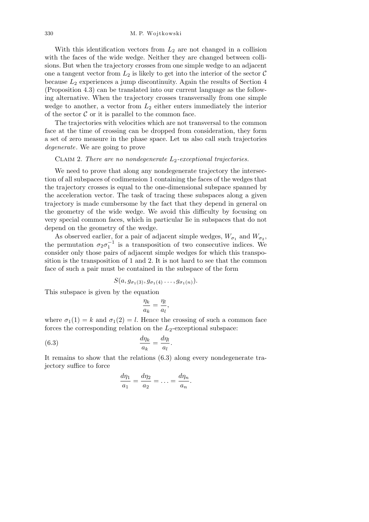With this identification vectors from  $L_2$  are not changed in a collision with the faces of the wide wedge. Neither they are changed between collisions. But when the trajectory crosses from one simple wedge to an adjacent one a tangent vector from  $L_2$  is likely to get into the interior of the sector  $\mathcal C$ because *L*<sup>2</sup> experiences a jump discontinuity. Again the results of Section 4 (Proposition 4.3) can be translated into our current language as the following alternative. When the trajectory crosses transversally from one simple wedge to another, a vector from  $L_2$  either enters immediately the interior of the sector  $\mathcal C$  or it is parallel to the common face.

The trajectories with velocities which are not transversal to the common face at the time of crossing can be dropped from consideration, they form a set of zero measure in the phase space. Let us also call such trajectories *degenerate*. We are going to prove

## Claim 2. *There are no nondegenerate L*2*-exceptional trajectories.*

We need to prove that along any nondegenerate trajectory the intersection of all subspaces of codimension 1 containing the faces of the wedges that the trajectory crosses is equal to the one-dimensional subspace spanned by the acceleration vector. The task of tracing these subspaces along a given trajectory is made cumbersome by the fact that they depend in general on the geometry of the wide wedge. We avoid this difficulty by focusing on very special common faces, which in particular lie in subspaces that do not depend on the geometry of the wedge.

As observed earlier, for a pair of adjacent simple wedges,  $W_{\sigma_1}$  and  $W_{\sigma_2}$ , the permutation  $\sigma_2 \sigma_1^{-1}$  is a transposition of two consecutive indices. We consider only those pairs of adjacent simple wedges for which this transposition is the transposition of 1 and 2. It is not hard to see that the common face of such a pair must be contained in the subspace of the form

$$
S(a,g_{\sigma_1(3)},g_{\sigma_1(4)}\ldots,g_{\sigma_1(n)}).
$$

This subspace is given by the equation

$$
\frac{\eta_k}{a_k} = \frac{\eta_l}{a_l},
$$

where  $\sigma_1(1) = k$  and  $\sigma_1(2) = l$ . Hence the crossing of such a common face forces the corresponding relation on the  $L_2$ -exceptional subspace:

(6.3) 
$$
\frac{d\eta_k}{a_k} = \frac{d\eta_l}{a_l}.
$$

It remains to show that the relations (6.3) along every nondegenerate trajectory suffice to force

$$
\frac{d\eta_1}{a_1} = \frac{d\eta_2}{a_2} = \ldots = \frac{d\eta_n}{a_n}.
$$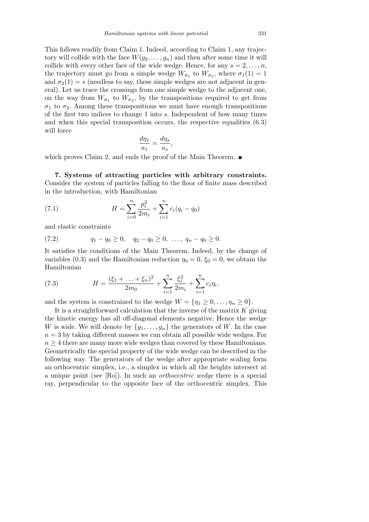This follows readily from Claim 1. Indeed, according to Claim 1, any trajectory will collide with the face  $W(g_2, \ldots, g_n)$  and then after some time it will collide with every other face of the wide wedge. Hence, for any  $s = 2, \ldots, n$ , the trajectory must go from a simple wedge  $W_{\sigma_1}$  to  $W_{\sigma_2}$ , where  $\sigma_1(1) = 1$ and  $\sigma_2(1) = s$  (needless to say, these simple wedges are not adjacent in general). Let us trace the crossings from one simple wedge to the adjacent one, on the way from  $W_{\sigma_1}$  to  $W_{\sigma_2}$ , by the transpositions required to get from  $\sigma_1$  to  $\sigma_2$ . Among these transpositions we must have enough transpositions of the first two indices to change 1 into *s*. Independent of how many times and when this special transposition occurs, the respective equalities (6.3) will force

$$
\frac{d\eta_1}{a_1} = \frac{d\eta_s}{a_s},
$$

which proves Claim 2, and ends the proof of the Main Theorem.  $\blacksquare$ 

**7. Systems of attracting particles with arbitrary constraints.** Consider the system of particles falling to the floor of finite mass described in the introduction, with Hamiltonian

(7.1) 
$$
H = \sum_{i=0}^{n} \frac{p_i^2}{2m_i} + \sum_{i=1}^{n} c_i (q_i - q_0)
$$

and elastic constraints

$$
(7.2) \t\t q_1 - q_0 \ge 0, \t q_2 - q_0 \ge 0, \ldots, \t q_n - q_0 \ge 0.
$$

It satisfies the conditions of the Main Theorem. Indeed, by the change of variables (0.3) and the Hamiltonian reduction  $\eta_0 = 0$ ,  $\xi_0 = 0$ , we obtain the Hamiltonian

*,*

(7.3) 
$$
H = \frac{(\xi_1 + \ldots + \xi_n)^2}{2m_0} + \sum_{i=1}^n \frac{\xi_i^2}{2m_i} + \sum_{i=1}^n c_i \eta_i
$$

and the system is constrained to the wedge  $W = {\eta_1 \geq 0, \ldots, \eta_n \geq 0}.$ 

It is a straightforward calculation that the inverse of the matrix *K* giving the kinetic energy has all off-diagonal elements negative. Hence the wedge *W* is wide. We will denote by  $\{g_1, \ldots, g_n\}$  the generators of *W*. In the case  $n = 3$  by taking different masses we can obtain all possible wide wedges. For  $n \geq 4$  there are many more wide wedges than covered by these Hamiltonians. Geometrically the special property of the wide wedge can be described in the following way. The generators of the wedge after appropriate scaling form an orthocentric simplex, i.e., a simplex in which all the heights intersect at a unique point (see [Ro]). In such an *orthocentric wedge* there is a special ray, perpendicular to the opposite face of the orthocentric simplex. This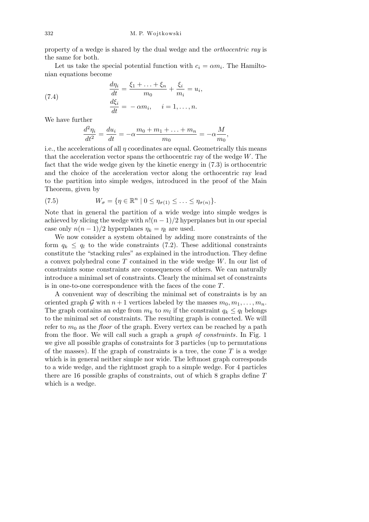property of a wedge is shared by the dual wedge and the *orthocentric ray* is the same for both.

Let us take the special potential function with  $c_i = \alpha m_i$ . The Hamiltonian equations become

(7.4) 
$$
\frac{d\eta_i}{dt} = \frac{\xi_1 + \ldots + \xi_n}{m_0} + \frac{\xi_i}{m_i} = u_i,
$$

$$
\frac{d\xi_i}{dt} = -\alpha m_i, \quad i = 1, \ldots, n.
$$

We have further

$$
\frac{d^2\eta_i}{dt^2} = \frac{du_i}{dt} = -\alpha \frac{m_0 + m_1 + \dots + m_n}{m_0} = -\alpha \frac{M}{m_0},
$$

i.e., the accelerations of all *η* coordinates are equal. Geometrically this means that the acceleration vector spans the orthocentric ray of the wedge *W*. The fact that the wide wedge given by the kinetic energy in (7.3) is orthocentric and the choice of the acceleration vector along the orthocentric ray lead to the partition into simple wedges, introduced in the proof of the Main Theorem, given by

(7.5) 
$$
W_{\sigma} = \{ \eta \in \mathbb{R}^n \mid 0 \leq \eta_{\sigma(1)} \leq \ldots \leq \eta_{\sigma(n)} \}.
$$

Note that in general the partition of a wide wedge into simple wedges is achieved by slicing the wedge with  $n!(n-1)/2$  hyperplanes but in our special case only  $n(n-1)/2$  hyperplanes  $\eta_k = \eta_l$  are used.

We now consider a system obtained by adding more constraints of the form  $q_k \leq q_l$  to the wide constraints (7.2). These additional constraints constitute the "stacking rules" as explained in the introduction. They define a convex polyhedral cone *T* contained in the wide wedge *W*. In our list of constraints some constraints are consequences of others. We can naturally introduce a minimal set of constraints. Clearly the minimal set of constraints is in one-to-one correspondence with the faces of the cone *T*.

A convenient way of describing the minimal set of constraints is by an oriented graph  $G$  with  $n+1$  vertices labeled by the masses  $m_0, m_1, \ldots, m_n$ . The graph contains an edge from  $m_k$  to  $m_l$  if the constraint  $q_k \leq q_l$  belongs to the minimal set of constraints. The resulting graph is connected. We will refer to  $m_0$  as the *floor* of the graph. Every vertex can be reached by a path from the floor. We will call such a graph a *graph of constraints*. In Fig. 1 we give all possible graphs of constraints for 3 particles (up to permutations of the masses). If the graph of constraints is a tree, the cone *T* is a wedge which is in general neither simple nor wide. The leftmost graph corresponds to a wide wedge, and the rightmost graph to a simple wedge. For 4 particles there are 16 possible graphs of constraints, out of which 8 graphs define *T* which is a wedge.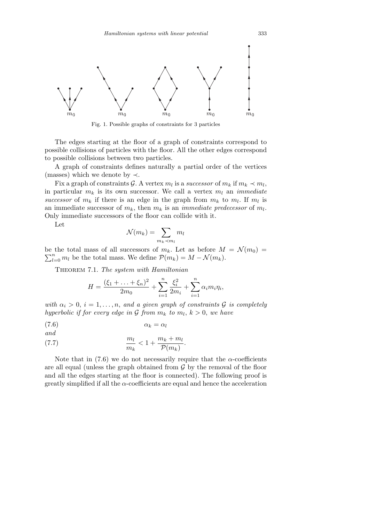

Fig. 1. Possible graphs of constraints for 3 particles

The edges starting at the floor of a graph of constraints correspond to possible collisions of particles with the floor. All the other edges correspond to possible collisions between two particles.

A graph of constraints defines naturally a partial order of the vertices (masses) which we denote by *≺*.

Fix a graph of constraints G. A vertex  $m_l$  is a *successor* of  $m_k$  if  $m_k \prec m_l$ , in particular  $m_k$  is its own successor. We call a vertex  $m_l$  an *immediate* successor of  $m_k$  if there is an edge in the graph from  $m_k$  to  $m_l$ . If  $m_l$  is an immediate successor of  $m_k$ , then  $m_k$  is an *immediate predecessor* of  $m_l$ . Only immediate successors of the floor can collide with it.

Let

$$
\mathcal{N}(m_k) = \sum_{m_k \prec m_l} m_l
$$

be the total mass of all successors of  $m_k$ . Let as before  $M = \mathcal{N}(m_0) =$  $n_{l=0}$  *m*<sub>*l*</sub> be the total mass. We define  $P(m_k) = M - \mathcal{N}(m_k)$ .

Theorem 7.1. *The system with Hamiltonian*

$$
H = \frac{(\xi_1 + \dots + \xi_n)^2}{2m_0} + \sum_{i=1}^n \frac{\xi_i^2}{2m_i} + \sum_{i=1}^n \alpha_i m_i \eta_i,
$$

*with*  $\alpha_i > 0$ ,  $i = 1, \ldots, n$ , and a given graph of constraints G is completely *hyperbolic if for every edge in*  $G$  *from*  $m_k$  *to*  $m_l$ ,  $k > 0$ , *we have* 

$$
\alpha_k = \alpha_l
$$

$$
\qquad and \qquad
$$

(7.7) 
$$
\frac{m_l}{m_k} < 1 + \frac{m_k + m_l}{\mathcal{P}(m_k)}.
$$

Note that in  $(7.6)$  we do not necessarily require that the  $\alpha$ -coefficients are all equal (unless the graph obtained from  $G$  by the removal of the floor and all the edges starting at the floor is connected). The following proof is greatly simplified if all the  $\alpha$ -coefficients are equal and hence the acceleration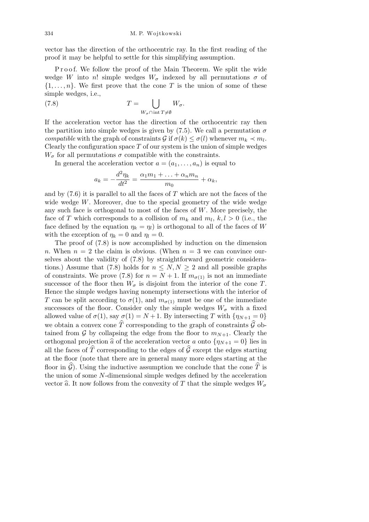vector has the direction of the orthocentric ray. In the first reading of the proof it may be helpful to settle for this simplifying assumption.

Proof. We follow the proof of the Main Theorem. We split the wide wedge *W* into *n*! simple wedges  $W_{\sigma}$  indexed by all permutations  $\sigma$  of  $\{1, \ldots, n\}$ . We first prove that the cone *T* is the union of some of these simple wedges, i.e.,  $\mathbf{r}$ 

(7.8) 
$$
T = \bigcup_{W_{\sigma} \cap \text{ int } T \neq \emptyset} W_{\sigma}.
$$

If the acceleration vector has the direction of the orthocentric ray then the partition into simple wedges is given by  $(7.5)$ . We call a permutation  $\sigma$ *compatible* with the graph of constraints  $G$  if  $\sigma(k) \leq \sigma(l)$  whenever  $m_k \prec m_l$ . Clearly the configuration space *T* of our system is the union of simple wedges  $W_{\sigma}$  for all permutations  $\sigma$  compatible with the constraints.

In general the acceleration vector  $a = (a_1, \ldots, a_n)$  is equal to

$$
a_k = -\frac{d^2 \eta_k}{dt^2} = \frac{\alpha_1 m_1 + \ldots + \alpha_n m_n}{m_0} + \alpha_k,
$$

and by (7.6) it is parallel to all the faces of *T* which are not the faces of the wide wedge *W*. Moreover, due to the special geometry of the wide wedge any such face is orthogonal to most of the faces of *W*. More precisely, the face of *T* which corresponds to a collision of  $m_k$  and  $m_l$ ,  $k, l > 0$  (i.e., the face defined by the equation  $\eta_k = \eta_l$  is orthogonal to all of the faces of *W* with the exception of  $\eta_k = 0$  and  $\eta_l = 0$ .

The proof of (7.8) is now accomplished by induction on the dimension *n*. When  $n = 2$  the claim is obvious. (When  $n = 3$  we can convince ourselves about the validity of (7.8) by straightforward geometric considerations.) Assume that (7.8) holds for  $n \leq N, N \geq 2$  and all possible graphs of constraints. We prove (7.8) for  $n = N + 1$ . If  $m_{\sigma(1)}$  is not an immediate successor of the floor then  $W_{\sigma}$  is disjoint from the interior of the cone *T*. Hence the simple wedges having nonempty intersections with the interior of *T* can be split according to  $\sigma(1)$ , and  $m_{\sigma(1)}$  must be one of the immediate successors of the floor. Consider only the simple wedges  $W_{\sigma}$  with a fixed allowed value of  $\sigma(1)$ , say  $\sigma(1) = N + 1$ . By intersecting *T* with  $\{\eta_{N+1} = 0\}$ we obtain a convex cone  $\widehat{T}$  corresponding to the graph of constraints  $\widehat{\mathcal{G}}$  obtained from  $\mathcal G$  by collapsing the edge from the floor to  $m_{N+1}$ . Clearly the orthogonal projection  $\hat{a}$  of the acceleration vector *a* onto  $\{\eta_{N+1} = 0\}$  lies in all the faces of  $\widehat{T}$  corresponding to the edges of  $\widehat{\mathcal{G}}$  except the edges starting at the floor (note that there are in general many more edges starting at the floor in  $\widehat{G}$ ). Using the inductive assumption we conclude that the cone  $\widehat{T}$  is the union of some *N*-dimensional simple wedges defined by the acceleration vector  $\hat{a}$ . It now follows from the convexity of *T* that the simple wedges  $W_{\sigma}$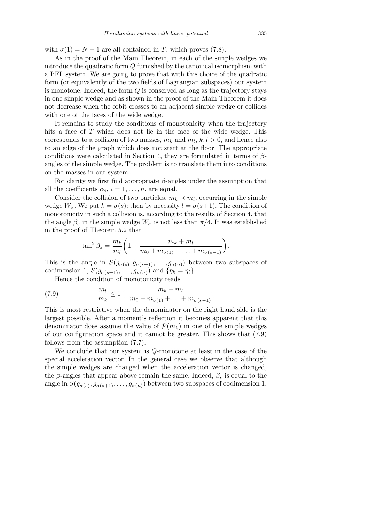with  $\sigma(1) = N + 1$  are all contained in *T*, which proves (7.8).

As in the proof of the Main Theorem, in each of the simple wedges we introduce the quadratic form *Q* furnished by the canonical isomorphism with a PFL system. We are going to prove that with this choice of the quadratic form (or equivalently of the two fields of Lagrangian subspaces) our system is monotone. Indeed, the form *Q* is conserved as long as the trajectory stays in one simple wedge and as shown in the proof of the Main Theorem it does not decrease when the orbit crosses to an adjacent simple wedge or collides with one of the faces of the wide wedge.

It remains to study the conditions of monotonicity when the trajectory hits a face of *T* which does not lie in the face of the wide wedge. This corresponds to a collision of two masses,  $m_k$  and  $m_l$ ,  $k, l > 0$ , and hence also to an edge of the graph which does not start at the floor. The appropriate conditions were calculated in Section 4, they are formulated in terms of *β*angles of the simple wedge. The problem is to translate them into conditions on the masses in our system.

For clarity we first find appropriate  $\beta$ -angles under the assumption that all the coefficients  $\alpha_i$ ,  $i = 1, \ldots, n$ , are equal.

Consider the collision of two particles,  $m_k \prec m_l$ , occurring in the simple wedge  $W_{\sigma}$ . We put  $k = \sigma(s)$ ; then by necessity  $l = \sigma(s+1)$ . The condition of monotonicity in such a collision is, according to the results of Section 4, that the angle  $\beta_s$  in the simple wedge  $W_{\sigma}$  is not less than  $\pi/4$ . It was established in the proof of Theorem 5.2 that

$$
\tan^2 \beta_s = \frac{m_k}{m_l} \left( 1 + \frac{m_k + m_l}{m_0 + m_{\sigma(1)} + \ldots + m_{\sigma(s-1)}} \right).
$$

This is the angle in  $S(g_{\sigma(s)}, g_{\sigma(s+1)}, \ldots, g_{\sigma(n)})$  between two subspaces of codimension 1,  $S(g_{\sigma(s+1)}, \ldots, g_{\sigma(n)})$  and  $\{\eta_k = \eta_l\}.$ 

Hence the condition of monotonicity reads

(7.9) 
$$
\frac{m_l}{m_k} \le 1 + \frac{m_k + m_l}{m_0 + m_{\sigma(1)} + \ldots + m_{\sigma(s-1)}}.
$$

This is most restrictive when the denominator on the right hand side is the largest possible. After a moment's reflection it becomes apparent that this denominator does assume the value of  $\mathcal{P}(m_k)$  in one of the simple wedges of our configuration space and it cannot be greater. This shows that (7.9) follows from the assumption (7.7).

We conclude that our system is *Q*-monotone at least in the case of the special acceleration vector. In the general case we observe that although the simple wedges are changed when the acceleration vector is changed, the  $\beta$ -angles that appear above remain the same. Indeed,  $\beta_s$  is equal to the angle in  $S(g_{\sigma(s)}, g_{\sigma(s+1)}, \ldots, g_{\sigma(n)})$  between two subspaces of codimension 1,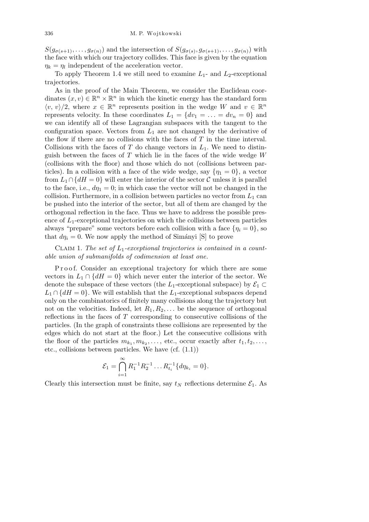$S(g_{\sigma(s+1)},\ldots,g_{\sigma(n)})$  and the intersection of  $S(g_{\sigma(s)},g_{\sigma(s+1)},\ldots,g_{\sigma(n)})$  with the face with which our trajectory collides. This face is given by the equation  $\eta_k = \eta_l$  independent of the acceleration vector.

To apply Theorem 1.4 we still need to examine  $L_1$ - and  $L_2$ -exceptional trajectories.

As in the proof of the Main Theorem, we consider the Euclidean coordinates  $(x, v) \in \mathbb{R}^n \times \mathbb{R}^n$  in which the kinetic energy has the standard form  $\langle v, v \rangle/2$ , where  $x \in \mathbb{R}^n$  represents position in the wedge *W* and  $v \in \mathbb{R}^n$ represents velocity. In these coordinates  $L_1 = \{dv_1 = \ldots = dv_n = 0\}$  and we can identify all of these Lagrangian subspaces with the tangent to the configuration space. Vectors from  $L_1$  are not changed by the derivative of the flow if there are no collisions with the faces of *T* in the time interval. Collisions with the faces of  $T$  do change vectors in  $L_1$ . We need to distinguish between the faces of *T* which lie in the faces of the wide wedge *W* (collisions with the floor) and those which do not (collisions between particles). In a collision with a face of the wide wedge, say  $\{\eta_1 = 0\}$ , a vector from  $L_1 \cap \{dH = 0\}$  will enter the interior of the sector  $\mathcal C$  unless it is parallel to the face, i.e.,  $d\eta_1 = 0$ ; in which case the vector will not be changed in the collision. Furthermore, in a collision between particles no vector from  $L_1$  can be pushed into the interior of the sector, but all of them are changed by the orthogonal reflection in the face. Thus we have to address the possible presence of  $L_1$ -exceptional trajectories on which the collisions between particles always "prepare" some vectors before each collision with a face  $\{\eta_i = 0\}$ , so that  $d\eta_i = 0$ . We now apply the method of Simányi [S] to prove

Claim 1. *The set of L*1*-exceptional trajectories is contained in a countable union of submanifolds of codimension at least one.*

Proof. Consider an exceptional trajectory for which there are some vectors in  $L_1 \cap \{dH = 0\}$  which never enter the interior of the sector. We denote the subspace of these vectors (the  $L_1$ -exceptional subspace) by  $\mathcal{E}_1 \subset$  $L_1 \cap \{dH = 0\}$ . We will establish that the  $L_1$ -exceptional subspaces depend only on the combinatorics of finitely many collisions along the trajectory but not on the velocities. Indeed, let  $R_1, R_2, \ldots$  be the sequence of orthogonal reflections in the faces of *T* corresponding to consecutive collisions of the particles. (In the graph of constraints these collisions are represented by the edges which do not start at the floor.) Let the consecutive collisions with the floor of the particles  $m_{k_1}, m_{k_2}, \ldots$ , etc., occur exactly after  $t_1, t_2, \ldots$ , etc., collisions between particles. We have (cf. (1.1))

$$
\mathcal{E}_1 = \bigcap_{i=1}^{\infty} R_1^{-1} R_2^{-1} \dots R_{t_i}^{-1} \{ d\eta_{k_i} = 0 \}.
$$

Clearly this intersection must be finite, say  $t<sub>N</sub>$  reflections determine  $\mathcal{E}<sub>1</sub>$ . As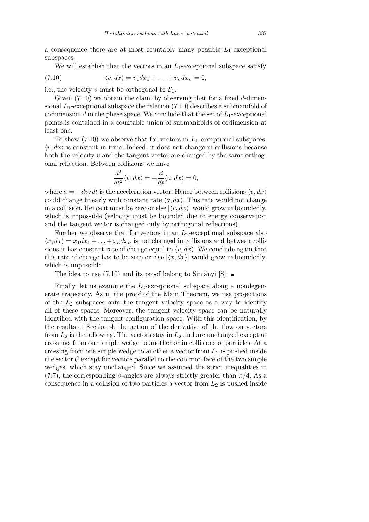a consequence there are at most countably many possible  $L_1$ -exceptional subspaces.

We will establish that the vectors in an  $L_1$ -exceptional subspace satisfy

(7.10) 
$$
\langle v, dx \rangle = v_1 dx_1 + \ldots + v_n dx_n = 0,
$$

i.e., the velocity *v* must be orthogonal to  $\mathcal{E}_1$ .

Given (7.10) we obtain the claim by observing that for a fixed *d*-dimensional  $L_1$ -exceptional subspace the relation  $(7.10)$  describes a submanifold of codimension  $d$  in the phase space. We conclude that the set of  $L_1$ -exceptional points is contained in a countable union of submanifolds of codimension at least one.

To show  $(7.10)$  we observe that for vectors in  $L_1$ -exceptional subspaces,  $\langle v, dx \rangle$  is constant in time. Indeed, it does not change in collisions because both the velocity *v* and the tangent vector are changed by the same orthogonal reflection. Between collisions we have

$$
\frac{d^2}{dt^2}\langle v, dx \rangle = -\frac{d}{dt}\langle a, dx \rangle = 0,
$$

where  $a = -dv/dt$  is the acceleration vector. Hence between collisions  $\langle v, dx \rangle$ could change linearly with constant rate  $\langle a, dx \rangle$ . This rate would not change in a collision. Hence it must be zero or else  $|\langle v, dx \rangle|$  would grow unboundedly, which is impossible (velocity must be bounded due to energy conservation and the tangent vector is changed only by orthogonal reflections).

Further we observe that for vectors in an *L*1-exceptional subspace also  $\langle x, dx \rangle = x_1 dx_1 + \ldots + x_n dx_n$  is not changed in collisions and between collisions it has constant rate of change equal to  $\langle v, dx \rangle$ . We conclude again that this rate of change has to be zero or else  $|\langle x, dx \rangle|$  would grow unboundedly, which is impossible.

The idea to use (7.10) and its proof belong to Simányi [S].  $\blacksquare$ 

Finally, let us examine the *L*<sub>2</sub>-exceptional subspace along a nondegenerate trajectory. As in the proof of the Main Theorem, we use projections of the *L*<sup>2</sup> subspaces onto the tangent velocity space as a way to identify all of these spaces. Moreover, the tangent velocity space can be naturally identified with the tangent configuration space. With this identification, by the results of Section 4, the action of the derivative of the flow on vectors from  $L_2$  is the following. The vectors stay in  $L_2$  and are unchanged except at crossings from one simple wedge to another or in collisions of particles. At a crossing from one simple wedge to another a vector from *L*<sup>2</sup> is pushed inside the sector  $\mathcal C$  except for vectors parallel to the common face of the two simple wedges, which stay unchanged. Since we assumed the strict inequalities in (7.7), the corresponding  $\beta$ -angles are always strictly greater than  $\pi/4$ . As a consequence in a collision of two particles a vector from *L*<sup>2</sup> is pushed inside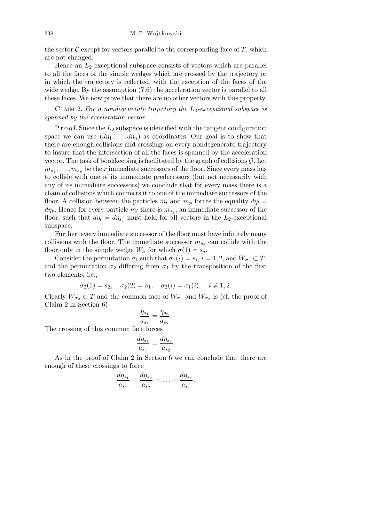the sector  $\mathcal C$  except for vectors parallel to the corresponding face of  $T$ , which are not changed.

Hence an  $L_2$ -exceptional subspace consists of vectors which are parallel to all the faces of the simple wedges which are crossed by the trajectory or in which the trajectory is reflected, with the exception of the faces of the wide wedge. By the assumption (7.6) the acceleration vector is parallel to all these faces. We now prove that there are no other vectors with this property.

Claim 2. *For a nondegenerate trajectory the L*2*-exceptional subspace is spanned by the acceleration vector.*

P r o o f. Since the *L*<sup>2</sup> subspace is identified with the tangent configuration space we can use  $(d\eta_1, \ldots, d\eta_n)$  as coordinates. Our goal is to show that there are enough collisions and crossings on every nondegenerate trajectory to insure that the intersection of all the faces is spanned by the acceleration vector. The task of bookkeeping is facilitated by the graph of collisions *G*. Let  $m_{s_1}, \ldots, m_{s_r}$  be the *r* immediate successors of the floor. Since every mass has to collide with one of its immediate predecessors (but not necessarily with any of its immediate successors) we conclude that for every mass there is a chain of collisions which connects it to one of the immediate successors of the floor. A collision between the particles  $m_l$  and  $m_p$  forces the equality  $d\eta_l =$  $d\eta_p$ . Hence for every particle  $m_l$  there is  $m_{s_j}$ , an immediate successor of the floor, such that  $d\eta_l = d\eta_{s_i}$  must hold for all vectors in the  $L_2$ -exceptional subspace.

Further, every immediate successor of the floor must have infinitely many collisions with the floor. The immediate successor  $m_{s_j}$  can collide with the floor only in the simple wedge  $W_{\sigma}$  for which  $\sigma(1) = s_i$ .

Consider the permutation  $\sigma_1$  such that  $\sigma_1(i) = s_i$ ,  $i = 1, 2$ , and  $W_{\sigma_1} \subset T$ , and the permutation  $\sigma_2$  differing from  $\sigma_1$  by the transposition of the first two elements, i.e.,

$$
\sigma_2(1) = s_2, \quad \sigma_2(2) = s_1, \quad \sigma_2(i) = \sigma_1(i), \quad i \neq 1, 2.
$$

Clearly  $W_{\sigma_2} \subset T$  and the common face of  $W_{\sigma_1}$  and  $W_{\sigma_2}$  is (cf. the proof of Claim 2 in Section 6)

$$
\frac{\eta_{s_1}}{a_{s_1}} = \frac{\eta_{s_2}}{a_{s_2}}.
$$

The crossing of this common face forces

$$
\frac{d\eta_{s_1}}{a_{s_1}} = \frac{d\eta_{s_2}}{a_{s_2}}.
$$

As in the proof of Claim 2 in Section 6 we can conclude that there are enough of these crossings to force

$$
\frac{d\eta_{s_1}}{a_{s_1}} = \frac{d\eta_{s_2}}{a_{s_2}} = \ldots = \frac{d\eta_{s_r}}{a_{s_r}}.
$$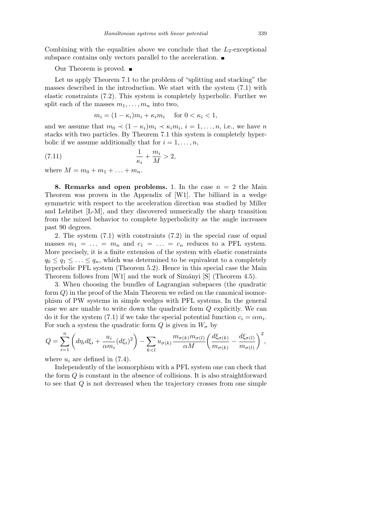Combining with the equalities above we conclude that the  $L_2$ -exceptional subspace contains only vectors parallel to the acceleration.  $\blacksquare$ 

## Our Theorem is proved.  $\blacksquare$

Let us apply Theorem 7.1 to the problem of "splitting and stacking" the masses described in the introduction. We start with the system (7.1) with elastic constraints (7.2). This system is completely hyperbolic. Further we split each of the masses  $m_1, \ldots, m_n$  into two,

$$
m_i = (1 - \kappa_i)m_i + \kappa_i m_i \quad \text{for } 0 < \kappa_i < 1,
$$

and we assume that  $m_0 \prec (1 - \kappa_i)m_i \prec \kappa_i m_i$ ,  $i = 1, \ldots, n$ , i.e., we have *n* stacks with two particles. By Theorem 7.1 this system is completely hyperbolic if we assume additionally that for  $i = 1, \ldots, n$ ,

$$
\frac{1}{\kappa_i} + \frac{m_i}{M} > 2,
$$

where  $M = m_0 + m_1 + \ldots + m_n$ .

**8. Remarks and open problems.** 1. In the case  $n = 2$  the Main Theorem was proven in the Appendix of [W1]. The billiard in a wedge symmetric with respect to the acceleration direction was studied by Miller and Lehtihet [L-M], and they discovered numerically the sharp transition from the mixed behavior to complete hyperbolicity as the angle increases past 90 degrees.

2. The system (7.1) with constraints (7.2) in the special case of equal masses  $m_1 = \ldots = m_n$  and  $c_1 = \ldots = c_n$  reduces to a PFL system. More precisely, it is a finite extension of the system with elastic constraints  $q_0 \leq q_1 \leq \ldots \leq q_n$ , which was determined to be equivalent to a completely hyperbolic PFL system (Theorem 5.2). Hence in this special case the Main Theorem follows from [W1] and the work of Simányi [S] (Theorem 4.5).

3. When choosing the bundles of Lagrangian subspaces (the quadratic form *Q*) in the proof of the Main Theorem we relied on the canonical isomorphism of PW systems in simple wedges with PFL systems. In the general case we are unable to write down the quadratic form *Q* explicitly. We can do it for the system (7.1) if we take the special potential function  $c_i = \alpha m_i$ . For such a system the quadratic form  $Q$  is given in  $W_{\sigma}$  by

$$
Q = \sum_{i=1}^{n} \left( d\eta_i d\xi_i + \frac{u_i}{\alpha m_i} (d\xi_i)^2 \right) - \sum_{k < l} u_{\sigma(k)} \frac{m_{\sigma(k)} m_{\sigma(l)}}{\alpha M} \left( \frac{d\xi_{\sigma(k)}}{m_{\sigma(k)}} - \frac{d\xi_{\sigma(l)}}{m_{\sigma(l)}} \right)^2,
$$

where  $u_i$  are defined in  $(7.4)$ .

Independently of the isomorphism with a PFL system one can check that the form *Q* is constant in the absence of collisions. It is also straightforward to see that *Q* is not decreased when the trajectory crosses from one simple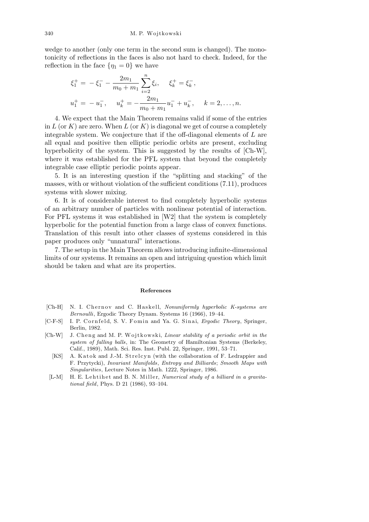wedge to another (only one term in the second sum is changed). The monotonicity of reflections in the faces is also not hard to check. Indeed, for the reflection in the face  $\{\eta_1 = 0\}$  we have

$$
\xi_1^+ = -\xi_1^- - \frac{2m_1}{m_0 + m_1} \sum_{i=2}^n \xi_i, \quad \xi_k^+ = \xi_k^-,
$$
  

$$
u_1^+ = -u_1^-, \quad u_k^+ = -\frac{2m_1}{m_0 + m_1} u_1^- + u_k^-, \quad k = 2, \dots, n.
$$

4. We expect that the Main Theorem remains valid if some of the entries in  $L$  (or  $K$ ) are zero. When  $L$  (or  $K$ ) is diagonal we get of course a completely integrable system. We conjecture that if the off-diagonal elements of *L* are all equal and positive then elliptic periodic orbits are present, excluding hyperbolicity of the system. This is suggested by the results of [Ch-W], where it was established for the PFL system that beyond the completely integrable case elliptic periodic points appear.

5. It is an interesting question if the "splitting and stacking" of the masses, with or without violation of the sufficient conditions (7.11), produces systems with slower mixing.

6. It is of considerable interest to find completely hyperbolic systems of an arbitrary number of particles with nonlinear potential of interaction. For PFL systems it was established in [W2] that the system is completely hyperbolic for the potential function from a large class of convex functions. Translation of this result into other classes of systems considered in this paper produces only "unnatural" interactions.

7. The setup in the Main Theorem allows introducing infinite-dimensional limits of our systems. It remains an open and intriguing question which limit should be taken and what are its properties.

#### **References**

- [Ch-H] N. I. Chernov and C. Haskell, *Nonuniformly hyperbolic K-systems are Bernoulli*, Ergodic Theory Dynam. Systems 16 (1966), 19–44.
- [C-F-S] I. P. Cornfeld, S. V. Fomin and Ya. G. Sinai, *Ergodic Theory*, Springer, Berlin, 1982.
- [Ch-W] J. Cheng and M. P. Wojtkowski, *Linear stability of a periodic orbit in the system of falling balls*, in: The Geometry of Hamiltonian Systems (Berkeley, Calif., 1989), Math. Sci. Res. Inst. Publ. 22, Springer, 1991, 53–71.
	- [KS] A. Katok and J.-M. Strelcyn (with the collaboration of F. Ledrappier and F. Przytycki), *Invariant Manifolds*, *Entropy and Billiards*; *Smooth Maps with Singularities*, Lecture Notes in Math. 1222, Springer, 1986.
	- [L-M] H. E. Lehtihet and B. N. Miller, *Numerical study of a billiard in a gravitational field*, Phys. D 21 (1986), 93–104.